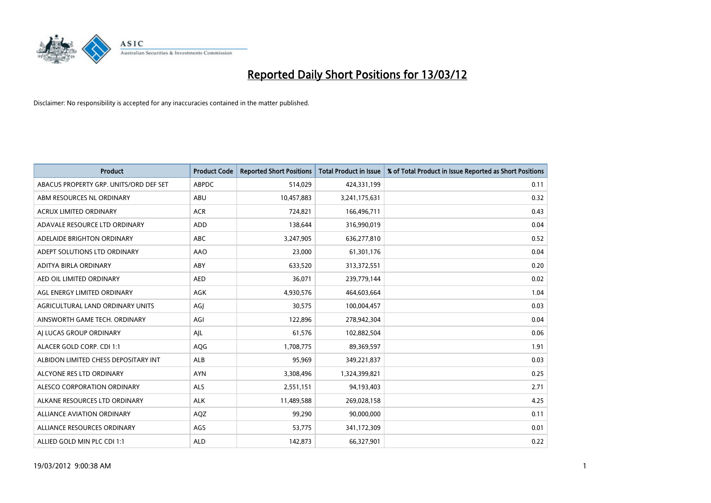

| <b>Product</b>                         | <b>Product Code</b> | <b>Reported Short Positions</b> | <b>Total Product in Issue</b> | % of Total Product in Issue Reported as Short Positions |
|----------------------------------------|---------------------|---------------------------------|-------------------------------|---------------------------------------------------------|
| ABACUS PROPERTY GRP. UNITS/ORD DEF SET | <b>ABPDC</b>        | 514,029                         | 424,331,199                   | 0.11                                                    |
| ABM RESOURCES NL ORDINARY              | ABU                 | 10,457,883                      | 3,241,175,631                 | 0.32                                                    |
| <b>ACRUX LIMITED ORDINARY</b>          | <b>ACR</b>          | 724,821                         | 166,496,711                   | 0.43                                                    |
| ADAVALE RESOURCE LTD ORDINARY          | <b>ADD</b>          | 138,644                         | 316,990,019                   | 0.04                                                    |
| ADELAIDE BRIGHTON ORDINARY             | <b>ABC</b>          | 3,247,905                       | 636,277,810                   | 0.52                                                    |
| ADEPT SOLUTIONS LTD ORDINARY           | <b>AAO</b>          | 23,000                          | 61,301,176                    | 0.04                                                    |
| ADITYA BIRLA ORDINARY                  | <b>ABY</b>          | 633,520                         | 313,372,551                   | 0.20                                                    |
| AED OIL LIMITED ORDINARY               | <b>AED</b>          | 36,071                          | 239,779,144                   | 0.02                                                    |
| AGL ENERGY LIMITED ORDINARY            | <b>AGK</b>          | 4,930,576                       | 464,603,664                   | 1.04                                                    |
| AGRICULTURAL LAND ORDINARY UNITS       | AGI                 | 30,575                          | 100,004,457                   | 0.03                                                    |
| AINSWORTH GAME TECH. ORDINARY          | AGI                 | 122,896                         | 278,942,304                   | 0.04                                                    |
| AI LUCAS GROUP ORDINARY                | AJL                 | 61,576                          | 102,882,504                   | 0.06                                                    |
| ALACER GOLD CORP. CDI 1:1              | AQG                 | 1,708,775                       | 89,369,597                    | 1.91                                                    |
| ALBIDON LIMITED CHESS DEPOSITARY INT   | ALB                 | 95,969                          | 349,221,837                   | 0.03                                                    |
| ALCYONE RES LTD ORDINARY               | <b>AYN</b>          | 3,308,496                       | 1,324,399,821                 | 0.25                                                    |
| ALESCO CORPORATION ORDINARY            | <b>ALS</b>          | 2,551,151                       | 94,193,403                    | 2.71                                                    |
| ALKANE RESOURCES LTD ORDINARY          | <b>ALK</b>          | 11,489,588                      | 269,028,158                   | 4.25                                                    |
| <b>ALLIANCE AVIATION ORDINARY</b>      | AQZ                 | 99,290                          | 90,000,000                    | 0.11                                                    |
| ALLIANCE RESOURCES ORDINARY            | AGS                 | 53,775                          | 341,172,309                   | 0.01                                                    |
| ALLIED GOLD MIN PLC CDI 1:1            | <b>ALD</b>          | 142,873                         | 66,327,901                    | 0.22                                                    |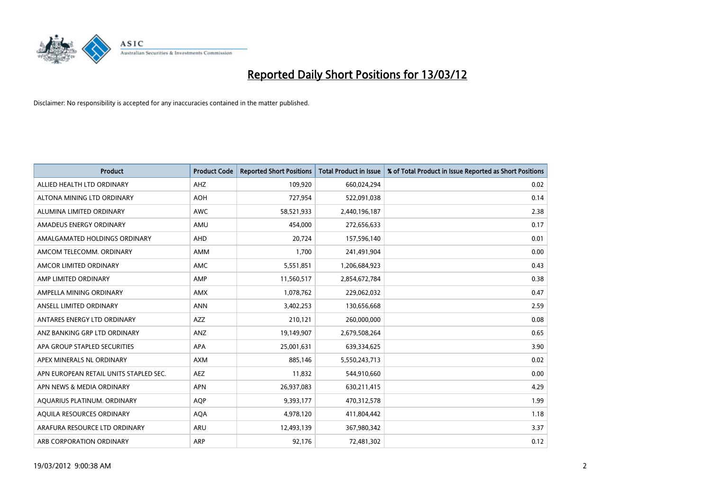

| <b>Product</b>                         | <b>Product Code</b> | <b>Reported Short Positions</b> | <b>Total Product in Issue</b> | % of Total Product in Issue Reported as Short Positions |
|----------------------------------------|---------------------|---------------------------------|-------------------------------|---------------------------------------------------------|
| ALLIED HEALTH LTD ORDINARY             | AHZ                 | 109,920                         | 660,024,294                   | 0.02                                                    |
| ALTONA MINING LTD ORDINARY             | <b>AOH</b>          | 727,954                         | 522,091,038                   | 0.14                                                    |
| ALUMINA LIMITED ORDINARY               | AWC                 | 58,521,933                      | 2,440,196,187                 | 2.38                                                    |
| AMADEUS ENERGY ORDINARY                | AMU                 | 454,000                         | 272,656,633                   | 0.17                                                    |
| AMALGAMATED HOLDINGS ORDINARY          | <b>AHD</b>          | 20,724                          | 157,596,140                   | 0.01                                                    |
| AMCOM TELECOMM. ORDINARY               | AMM                 | 1,700                           | 241,491,904                   | 0.00                                                    |
| AMCOR LIMITED ORDINARY                 | AMC                 | 5,551,851                       | 1,206,684,923                 | 0.43                                                    |
| AMP LIMITED ORDINARY                   | AMP                 | 11,560,517                      | 2,854,672,784                 | 0.38                                                    |
| AMPELLA MINING ORDINARY                | <b>AMX</b>          | 1,078,762                       | 229,062,032                   | 0.47                                                    |
| ANSELL LIMITED ORDINARY                | <b>ANN</b>          | 3,402,253                       | 130,656,668                   | 2.59                                                    |
| ANTARES ENERGY LTD ORDINARY            | <b>AZZ</b>          | 210,121                         | 260,000,000                   | 0.08                                                    |
| ANZ BANKING GRP LTD ORDINARY           | <b>ANZ</b>          | 19,149,907                      | 2,679,508,264                 | 0.65                                                    |
| APA GROUP STAPLED SECURITIES           | APA                 | 25,001,631                      | 639,334,625                   | 3.90                                                    |
| APEX MINERALS NL ORDINARY              | <b>AXM</b>          | 885,146                         | 5,550,243,713                 | 0.02                                                    |
| APN EUROPEAN RETAIL UNITS STAPLED SEC. | <b>AEZ</b>          | 11,832                          | 544,910,660                   | 0.00                                                    |
| APN NEWS & MEDIA ORDINARY              | <b>APN</b>          | 26,937,083                      | 630,211,415                   | 4.29                                                    |
| AQUARIUS PLATINUM. ORDINARY            | <b>AQP</b>          | 9,393,177                       | 470,312,578                   | 1.99                                                    |
| AQUILA RESOURCES ORDINARY              | <b>AQA</b>          | 4,978,120                       | 411,804,442                   | 1.18                                                    |
| ARAFURA RESOURCE LTD ORDINARY          | <b>ARU</b>          | 12,493,139                      | 367,980,342                   | 3.37                                                    |
| ARB CORPORATION ORDINARY               | ARP                 | 92,176                          | 72,481,302                    | 0.12                                                    |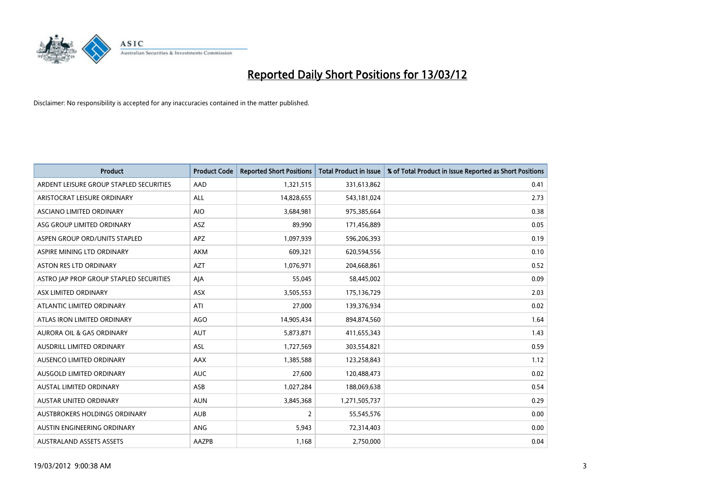

| <b>Product</b>                          | <b>Product Code</b> | <b>Reported Short Positions</b> | <b>Total Product in Issue</b> | % of Total Product in Issue Reported as Short Positions |
|-----------------------------------------|---------------------|---------------------------------|-------------------------------|---------------------------------------------------------|
| ARDENT LEISURE GROUP STAPLED SECURITIES | AAD                 | 1,321,515                       | 331,613,862                   | 0.41                                                    |
| ARISTOCRAT LEISURE ORDINARY             | ALL                 | 14,828,655                      | 543,181,024                   | 2.73                                                    |
| ASCIANO LIMITED ORDINARY                | <b>AIO</b>          | 3,684,981                       | 975,385,664                   | 0.38                                                    |
| ASG GROUP LIMITED ORDINARY              | <b>ASZ</b>          | 89,990                          | 171,456,889                   | 0.05                                                    |
| ASPEN GROUP ORD/UNITS STAPLED           | <b>APZ</b>          | 1,097,939                       | 596,206,393                   | 0.19                                                    |
| ASPIRE MINING LTD ORDINARY              | AKM                 | 609,321                         | 620,594,556                   | 0.10                                                    |
| ASTON RES LTD ORDINARY                  | <b>AZT</b>          | 1,076,971                       | 204,668,861                   | 0.52                                                    |
| ASTRO JAP PROP GROUP STAPLED SECURITIES | AJA                 | 55,045                          | 58,445,002                    | 0.09                                                    |
| ASX LIMITED ORDINARY                    | ASX                 | 3,505,553                       | 175,136,729                   | 2.03                                                    |
| ATLANTIC LIMITED ORDINARY               | ATI                 | 27,000                          | 139,376,934                   | 0.02                                                    |
| ATLAS IRON LIMITED ORDINARY             | <b>AGO</b>          | 14,905,434                      | 894,874,560                   | 1.64                                                    |
| AURORA OIL & GAS ORDINARY               | AUT                 | 5,873,871                       | 411,655,343                   | 1.43                                                    |
| AUSDRILL LIMITED ORDINARY               | ASL                 | 1,727,569                       | 303,554,821                   | 0.59                                                    |
| AUSENCO LIMITED ORDINARY                | <b>AAX</b>          | 1,385,588                       | 123,258,843                   | 1.12                                                    |
| AUSGOLD LIMITED ORDINARY                | <b>AUC</b>          | 27,600                          | 120,488,473                   | 0.02                                                    |
| AUSTAL LIMITED ORDINARY                 | ASB                 | 1,027,284                       | 188,069,638                   | 0.54                                                    |
| AUSTAR UNITED ORDINARY                  | <b>AUN</b>          | 3,845,368                       | 1,271,505,737                 | 0.29                                                    |
| AUSTBROKERS HOLDINGS ORDINARY           | <b>AUB</b>          | 2                               | 55,545,576                    | 0.00                                                    |
| AUSTIN ENGINEERING ORDINARY             | ANG                 | 5,943                           | 72,314,403                    | 0.00                                                    |
| <b>AUSTRALAND ASSETS ASSETS</b>         | <b>AAZPB</b>        | 1,168                           | 2,750,000                     | 0.04                                                    |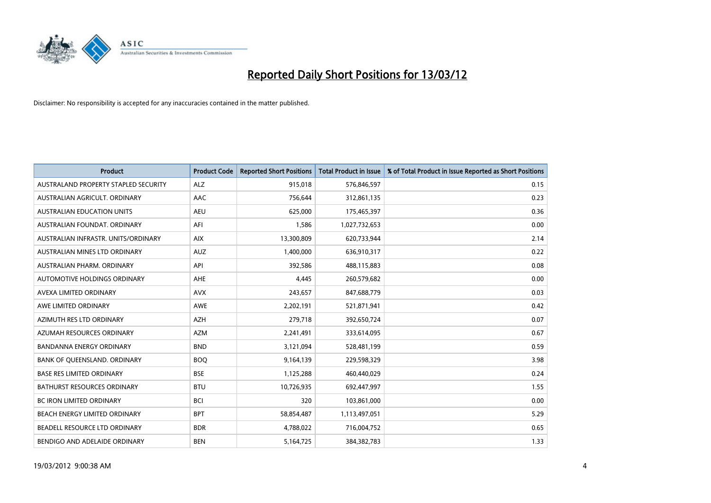

| <b>Product</b>                       | <b>Product Code</b> | <b>Reported Short Positions</b> | <b>Total Product in Issue</b> | % of Total Product in Issue Reported as Short Positions |
|--------------------------------------|---------------------|---------------------------------|-------------------------------|---------------------------------------------------------|
| AUSTRALAND PROPERTY STAPLED SECURITY | <b>ALZ</b>          | 915,018                         | 576,846,597                   | 0.15                                                    |
| AUSTRALIAN AGRICULT. ORDINARY        | AAC                 | 756,644                         | 312,861,135                   | 0.23                                                    |
| <b>AUSTRALIAN EDUCATION UNITS</b>    | <b>AEU</b>          | 625,000                         | 175,465,397                   | 0.36                                                    |
| AUSTRALIAN FOUNDAT, ORDINARY         | AFI                 | 1,586                           | 1,027,732,653                 | 0.00                                                    |
| AUSTRALIAN INFRASTR, UNITS/ORDINARY  | <b>AIX</b>          | 13,300,809                      | 620,733,944                   | 2.14                                                    |
| AUSTRALIAN MINES LTD ORDINARY        | <b>AUZ</b>          | 1,400,000                       | 636,910,317                   | 0.22                                                    |
| AUSTRALIAN PHARM, ORDINARY           | API                 | 392,586                         | 488,115,883                   | 0.08                                                    |
| AUTOMOTIVE HOLDINGS ORDINARY         | <b>AHE</b>          | 4,445                           | 260,579,682                   | 0.00                                                    |
| AVEXA LIMITED ORDINARY               | <b>AVX</b>          | 243,657                         | 847,688,779                   | 0.03                                                    |
| AWE LIMITED ORDINARY                 | <b>AWE</b>          | 2,202,191                       | 521,871,941                   | 0.42                                                    |
| AZIMUTH RES LTD ORDINARY             | <b>AZH</b>          | 279,718                         | 392,650,724                   | 0.07                                                    |
| AZUMAH RESOURCES ORDINARY            | <b>AZM</b>          | 2,241,491                       | 333,614,095                   | 0.67                                                    |
| <b>BANDANNA ENERGY ORDINARY</b>      | <b>BND</b>          | 3,121,094                       | 528,481,199                   | 0.59                                                    |
| BANK OF QUEENSLAND. ORDINARY         | <b>BOQ</b>          | 9,164,139                       | 229,598,329                   | 3.98                                                    |
| <b>BASE RES LIMITED ORDINARY</b>     | <b>BSE</b>          | 1,125,288                       | 460,440,029                   | 0.24                                                    |
| <b>BATHURST RESOURCES ORDINARY</b>   | <b>BTU</b>          | 10,726,935                      | 692,447,997                   | 1.55                                                    |
| BC IRON LIMITED ORDINARY             | <b>BCI</b>          | 320                             | 103,861,000                   | 0.00                                                    |
| BEACH ENERGY LIMITED ORDINARY        | <b>BPT</b>          | 58,854,487                      | 1,113,497,051                 | 5.29                                                    |
| BEADELL RESOURCE LTD ORDINARY        | <b>BDR</b>          | 4,788,022                       | 716,004,752                   | 0.65                                                    |
| BENDIGO AND ADELAIDE ORDINARY        | <b>BEN</b>          | 5,164,725                       | 384, 382, 783                 | 1.33                                                    |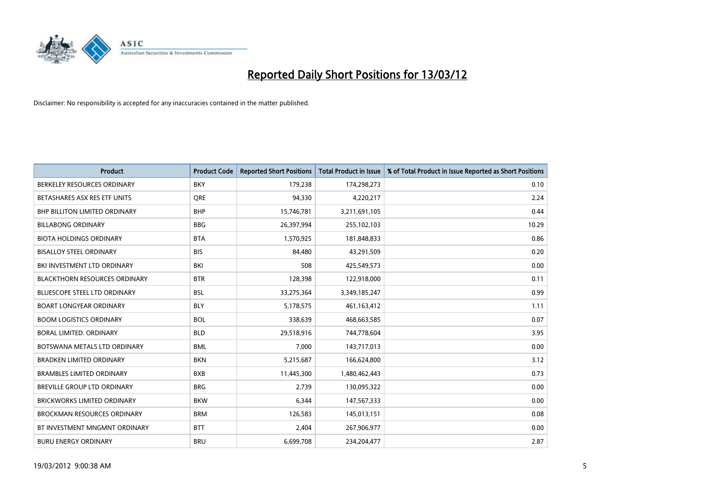

| <b>Product</b>                       | <b>Product Code</b> | <b>Reported Short Positions</b> | <b>Total Product in Issue</b> | % of Total Product in Issue Reported as Short Positions |
|--------------------------------------|---------------------|---------------------------------|-------------------------------|---------------------------------------------------------|
| BERKELEY RESOURCES ORDINARY          | <b>BKY</b>          | 179,238                         | 174,298,273                   | 0.10                                                    |
| BETASHARES ASX RES ETF UNITS         | <b>ORE</b>          | 94,330                          | 4,220,217                     | 2.24                                                    |
| <b>BHP BILLITON LIMITED ORDINARY</b> | <b>BHP</b>          | 15,746,781                      | 3,211,691,105                 | 0.44                                                    |
| <b>BILLABONG ORDINARY</b>            | <b>BBG</b>          | 26,397,994                      | 255,102,103                   | 10.29                                                   |
| <b>BIOTA HOLDINGS ORDINARY</b>       | <b>BTA</b>          | 1,570,925                       | 181,848,833                   | 0.86                                                    |
| <b>BISALLOY STEEL ORDINARY</b>       | <b>BIS</b>          | 84,480                          | 43,291,509                    | 0.20                                                    |
| BKI INVESTMENT LTD ORDINARY          | BKI                 | 508                             | 425,549,573                   | 0.00                                                    |
| <b>BLACKTHORN RESOURCES ORDINARY</b> | <b>BTR</b>          | 128,398                         | 122,918,000                   | 0.11                                                    |
| <b>BLUESCOPE STEEL LTD ORDINARY</b>  | <b>BSL</b>          | 33,275,364                      | 3,349,185,247                 | 0.99                                                    |
| <b>BOART LONGYEAR ORDINARY</b>       | <b>BLY</b>          | 5,178,575                       | 461, 163, 412                 | 1.11                                                    |
| <b>BOOM LOGISTICS ORDINARY</b>       | <b>BOL</b>          | 338,639                         | 468,663,585                   | 0.07                                                    |
| <b>BORAL LIMITED, ORDINARY</b>       | <b>BLD</b>          | 29,518,916                      | 744,778,604                   | 3.95                                                    |
| BOTSWANA METALS LTD ORDINARY         | <b>BML</b>          | 7,000                           | 143,717,013                   | 0.00                                                    |
| <b>BRADKEN LIMITED ORDINARY</b>      | <b>BKN</b>          | 5,215,687                       | 166,624,800                   | 3.12                                                    |
| <b>BRAMBLES LIMITED ORDINARY</b>     | <b>BXB</b>          | 11,445,300                      | 1,480,462,443                 | 0.73                                                    |
| BREVILLE GROUP LTD ORDINARY          | <b>BRG</b>          | 2,739                           | 130,095,322                   | 0.00                                                    |
| BRICKWORKS LIMITED ORDINARY          | <b>BKW</b>          | 6,344                           | 147,567,333                   | 0.00                                                    |
| <b>BROCKMAN RESOURCES ORDINARY</b>   | <b>BRM</b>          | 126,583                         | 145,013,151                   | 0.08                                                    |
| BT INVESTMENT MNGMNT ORDINARY        | <b>BTT</b>          | 2,404                           | 267,906,977                   | 0.00                                                    |
| <b>BURU ENERGY ORDINARY</b>          | <b>BRU</b>          | 6,699,708                       | 234,204,477                   | 2.87                                                    |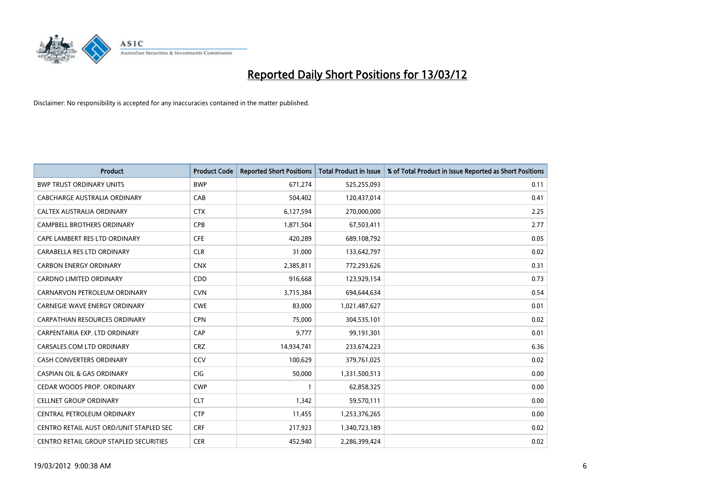

| <b>Product</b>                          | <b>Product Code</b> | <b>Reported Short Positions</b> | <b>Total Product in Issue</b> | % of Total Product in Issue Reported as Short Positions |
|-----------------------------------------|---------------------|---------------------------------|-------------------------------|---------------------------------------------------------|
| <b>BWP TRUST ORDINARY UNITS</b>         | <b>BWP</b>          | 671,274                         | 525,255,093                   | 0.11                                                    |
| CABCHARGE AUSTRALIA ORDINARY            | CAB                 | 504,402                         | 120,437,014                   | 0.41                                                    |
| <b>CALTEX AUSTRALIA ORDINARY</b>        | <b>CTX</b>          | 6,127,594                       | 270,000,000                   | 2.25                                                    |
| CAMPBELL BROTHERS ORDINARY              | <b>CPB</b>          | 1,871,504                       | 67,503,411                    | 2.77                                                    |
| CAPE LAMBERT RES LTD ORDINARY           | <b>CFE</b>          | 420,289                         | 689,108,792                   | 0.05                                                    |
| CARABELLA RES LTD ORDINARY              | <b>CLR</b>          | 31,000                          | 133,642,797                   | 0.02                                                    |
| <b>CARBON ENERGY ORDINARY</b>           | <b>CNX</b>          | 2,385,811                       | 772,293,626                   | 0.31                                                    |
| CARDNO LIMITED ORDINARY                 | CDD                 | 916,668                         | 123,929,154                   | 0.73                                                    |
| CARNARVON PETROLEUM ORDINARY            | <b>CVN</b>          | 3,715,384                       | 694,644,634                   | 0.54                                                    |
| <b>CARNEGIE WAVE ENERGY ORDINARY</b>    | <b>CWE</b>          | 83,000                          | 1,021,487,627                 | 0.01                                                    |
| CARPATHIAN RESOURCES ORDINARY           | <b>CPN</b>          | 75,000                          | 304,535,101                   | 0.02                                                    |
| CARPENTARIA EXP. LTD ORDINARY           | CAP                 | 9,777                           | 99,191,301                    | 0.01                                                    |
| CARSALES.COM LTD ORDINARY               | <b>CRZ</b>          | 14,934,741                      | 233,674,223                   | 6.36                                                    |
| <b>CASH CONVERTERS ORDINARY</b>         | CCV                 | 100,629                         | 379,761,025                   | 0.02                                                    |
| <b>CASPIAN OIL &amp; GAS ORDINARY</b>   | CIG                 | 50,000                          | 1,331,500,513                 | 0.00                                                    |
| CEDAR WOODS PROP. ORDINARY              | <b>CWP</b>          |                                 | 62,858,325                    | 0.00                                                    |
| <b>CELLNET GROUP ORDINARY</b>           | <b>CLT</b>          | 1,342                           | 59,570,111                    | 0.00                                                    |
| CENTRAL PETROLEUM ORDINARY              | <b>CTP</b>          | 11,455                          | 1,253,376,265                 | 0.00                                                    |
| CENTRO RETAIL AUST ORD/UNIT STAPLED SEC | <b>CRF</b>          | 217,923                         | 1,340,723,189                 | 0.02                                                    |
| CENTRO RETAIL GROUP STAPLED SECURITIES  | <b>CER</b>          | 452,940                         | 2,286,399,424                 | 0.02                                                    |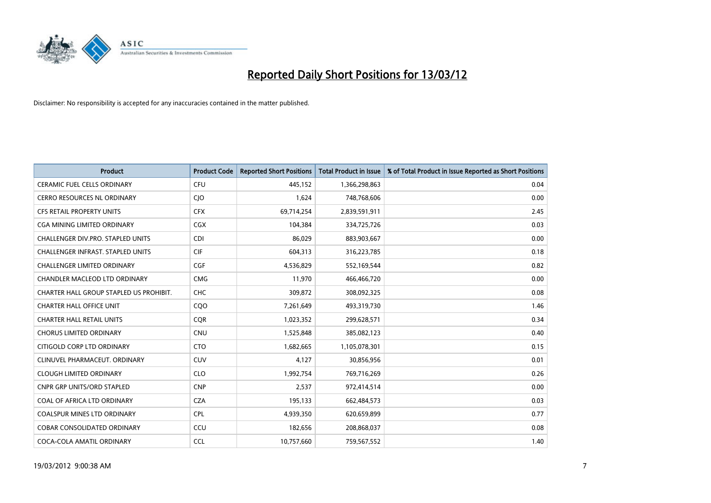

| <b>Product</b>                          | <b>Product Code</b> | <b>Reported Short Positions</b> | <b>Total Product in Issue</b> | % of Total Product in Issue Reported as Short Positions |
|-----------------------------------------|---------------------|---------------------------------|-------------------------------|---------------------------------------------------------|
| <b>CERAMIC FUEL CELLS ORDINARY</b>      | <b>CFU</b>          | 445,152                         | 1,366,298,863                 | 0.04                                                    |
| CERRO RESOURCES NL ORDINARY             | CJO                 | 1,624                           | 748,768,606                   | 0.00                                                    |
| <b>CFS RETAIL PROPERTY UNITS</b>        | <b>CFX</b>          | 69,714,254                      | 2,839,591,911                 | 2.45                                                    |
| CGA MINING LIMITED ORDINARY             | <b>CGX</b>          | 104,384                         | 334,725,726                   | 0.03                                                    |
| CHALLENGER DIV.PRO. STAPLED UNITS       | <b>CDI</b>          | 86,029                          | 883,903,667                   | 0.00                                                    |
| CHALLENGER INFRAST. STAPLED UNITS       | <b>CIF</b>          | 604,313                         | 316,223,785                   | 0.18                                                    |
| <b>CHALLENGER LIMITED ORDINARY</b>      | <b>CGF</b>          | 4,536,829                       | 552,169,544                   | 0.82                                                    |
| CHANDLER MACLEOD LTD ORDINARY           | <b>CMG</b>          | 11,970                          | 466,466,720                   | 0.00                                                    |
| CHARTER HALL GROUP STAPLED US PROHIBIT. | <b>CHC</b>          | 309,872                         | 308,092,325                   | 0.08                                                    |
| <b>CHARTER HALL OFFICE UNIT</b>         | CQO                 | 7,261,649                       | 493,319,730                   | 1.46                                                    |
| <b>CHARTER HALL RETAIL UNITS</b>        | <b>CQR</b>          | 1,023,352                       | 299,628,571                   | 0.34                                                    |
| <b>CHORUS LIMITED ORDINARY</b>          | <b>CNU</b>          | 1,525,848                       | 385,082,123                   | 0.40                                                    |
| CITIGOLD CORP LTD ORDINARY              | <b>CTO</b>          | 1,682,665                       | 1,105,078,301                 | 0.15                                                    |
| CLINUVEL PHARMACEUT, ORDINARY           | <b>CUV</b>          | 4,127                           | 30,856,956                    | 0.01                                                    |
| <b>CLOUGH LIMITED ORDINARY</b>          | <b>CLO</b>          | 1,992,754                       | 769,716,269                   | 0.26                                                    |
| <b>CNPR GRP UNITS/ORD STAPLED</b>       | <b>CNP</b>          | 2,537                           | 972,414,514                   | 0.00                                                    |
| COAL OF AFRICA LTD ORDINARY             | <b>CZA</b>          | 195,133                         | 662,484,573                   | 0.03                                                    |
| <b>COALSPUR MINES LTD ORDINARY</b>      | <b>CPL</b>          | 4,939,350                       | 620,659,899                   | 0.77                                                    |
| <b>COBAR CONSOLIDATED ORDINARY</b>      | CCU                 | 182,656                         | 208,868,037                   | 0.08                                                    |
| COCA-COLA AMATIL ORDINARY               | <b>CCL</b>          | 10,757,660                      | 759,567,552                   | 1.40                                                    |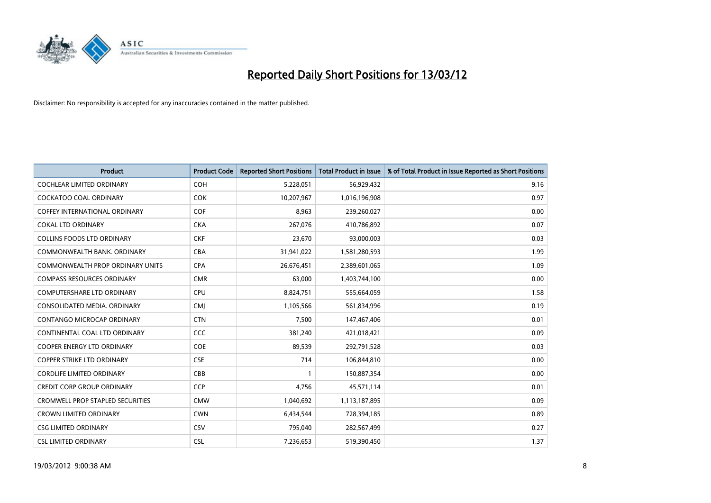

| <b>Product</b>                          | <b>Product Code</b> | <b>Reported Short Positions</b> | <b>Total Product in Issue</b> | % of Total Product in Issue Reported as Short Positions |
|-----------------------------------------|---------------------|---------------------------------|-------------------------------|---------------------------------------------------------|
| <b>COCHLEAR LIMITED ORDINARY</b>        | <b>COH</b>          | 5,228,051                       | 56,929,432                    | 9.16                                                    |
| COCKATOO COAL ORDINARY                  | <b>COK</b>          | 10,207,967                      | 1,016,196,908                 | 0.97                                                    |
| <b>COFFEY INTERNATIONAL ORDINARY</b>    | <b>COF</b>          | 8,963                           | 239,260,027                   | 0.00                                                    |
| <b>COKAL LTD ORDINARY</b>               | <b>CKA</b>          | 267,076                         | 410,786,892                   | 0.07                                                    |
| <b>COLLINS FOODS LTD ORDINARY</b>       | <b>CKF</b>          | 23,670                          | 93,000,003                    | 0.03                                                    |
| COMMONWEALTH BANK, ORDINARY             | <b>CBA</b>          | 31,941,022                      | 1,581,280,593                 | 1.99                                                    |
| <b>COMMONWEALTH PROP ORDINARY UNITS</b> | <b>CPA</b>          | 26,676,451                      | 2,389,601,065                 | 1.09                                                    |
| <b>COMPASS RESOURCES ORDINARY</b>       | <b>CMR</b>          | 63,000                          | 1,403,744,100                 | 0.00                                                    |
| COMPUTERSHARE LTD ORDINARY              | <b>CPU</b>          | 8,824,751                       | 555,664,059                   | 1.58                                                    |
| CONSOLIDATED MEDIA, ORDINARY            | <b>CMI</b>          | 1,105,566                       | 561,834,996                   | 0.19                                                    |
| CONTANGO MICROCAP ORDINARY              | <b>CTN</b>          | 7,500                           | 147,467,406                   | 0.01                                                    |
| CONTINENTAL COAL LTD ORDINARY           | CCC                 | 381,240                         | 421,018,421                   | 0.09                                                    |
| COOPER ENERGY LTD ORDINARY              | <b>COE</b>          | 89,539                          | 292,791,528                   | 0.03                                                    |
| <b>COPPER STRIKE LTD ORDINARY</b>       | <b>CSE</b>          | 714                             | 106,844,810                   | 0.00                                                    |
| <b>CORDLIFE LIMITED ORDINARY</b>        | CBB                 | $\mathbf{1}$                    | 150,887,354                   | 0.00                                                    |
| <b>CREDIT CORP GROUP ORDINARY</b>       | <b>CCP</b>          | 4,756                           | 45,571,114                    | 0.01                                                    |
| <b>CROMWELL PROP STAPLED SECURITIES</b> | <b>CMW</b>          | 1,040,692                       | 1,113,187,895                 | 0.09                                                    |
| CROWN LIMITED ORDINARY                  | <b>CWN</b>          | 6,434,544                       | 728,394,185                   | 0.89                                                    |
| <b>CSG LIMITED ORDINARY</b>             | CSV                 | 795,040                         | 282,567,499                   | 0.27                                                    |
| <b>CSL LIMITED ORDINARY</b>             | <b>CSL</b>          | 7,236,653                       | 519,390,450                   | 1.37                                                    |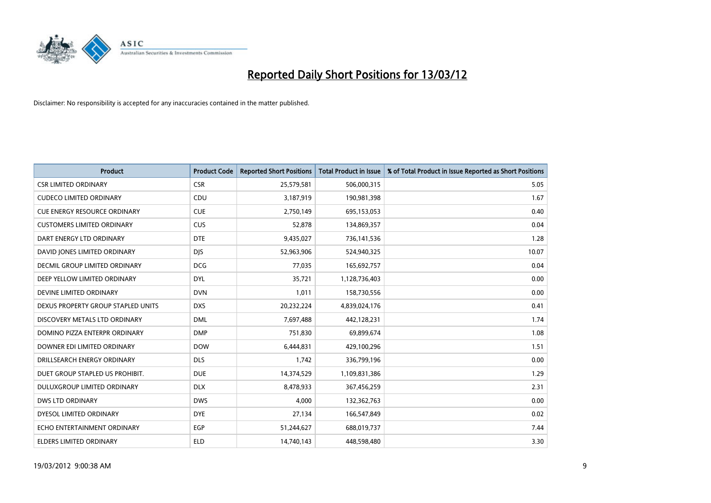

| <b>Product</b>                       | <b>Product Code</b> | <b>Reported Short Positions</b> | <b>Total Product in Issue</b> | % of Total Product in Issue Reported as Short Positions |
|--------------------------------------|---------------------|---------------------------------|-------------------------------|---------------------------------------------------------|
| <b>CSR LIMITED ORDINARY</b>          | <b>CSR</b>          | 25,579,581                      | 506,000,315                   | 5.05                                                    |
| <b>CUDECO LIMITED ORDINARY</b>       | CDU                 | 3,187,919                       | 190,981,398                   | 1.67                                                    |
| <b>CUE ENERGY RESOURCE ORDINARY</b>  | <b>CUE</b>          | 2,750,149                       | 695,153,053                   | 0.40                                                    |
| <b>CUSTOMERS LIMITED ORDINARY</b>    | <b>CUS</b>          | 52,878                          | 134,869,357                   | 0.04                                                    |
| DART ENERGY LTD ORDINARY             | <b>DTE</b>          | 9,435,027                       | 736,141,536                   | 1.28                                                    |
| DAVID JONES LIMITED ORDINARY         | <b>DJS</b>          | 52,963,906                      | 524,940,325                   | 10.07                                                   |
| <b>DECMIL GROUP LIMITED ORDINARY</b> | <b>DCG</b>          | 77,035                          | 165,692,757                   | 0.04                                                    |
| DEEP YELLOW LIMITED ORDINARY         | <b>DYL</b>          | 35,721                          | 1,128,736,403                 | 0.00                                                    |
| DEVINE LIMITED ORDINARY              | <b>DVN</b>          | 1,011                           | 158,730,556                   | 0.00                                                    |
| DEXUS PROPERTY GROUP STAPLED UNITS   | <b>DXS</b>          | 20,232,224                      | 4,839,024,176                 | 0.41                                                    |
| DISCOVERY METALS LTD ORDINARY        | <b>DML</b>          | 7,697,488                       | 442,128,231                   | 1.74                                                    |
| DOMINO PIZZA ENTERPR ORDINARY        | <b>DMP</b>          | 751,830                         | 69,899,674                    | 1.08                                                    |
| DOWNER EDI LIMITED ORDINARY          | <b>DOW</b>          | 6,444,831                       | 429,100,296                   | 1.51                                                    |
| DRILLSEARCH ENERGY ORDINARY          | <b>DLS</b>          | 1,742                           | 336,799,196                   | 0.00                                                    |
| DUET GROUP STAPLED US PROHIBIT.      | <b>DUE</b>          | 14,374,529                      | 1,109,831,386                 | 1.29                                                    |
| DULUXGROUP LIMITED ORDINARY          | <b>DLX</b>          | 8,478,933                       | 367,456,259                   | 2.31                                                    |
| <b>DWS LTD ORDINARY</b>              | <b>DWS</b>          | 4,000                           | 132,362,763                   | 0.00                                                    |
| DYESOL LIMITED ORDINARY              | <b>DYE</b>          | 27,134                          | 166,547,849                   | 0.02                                                    |
| ECHO ENTERTAINMENT ORDINARY          | <b>EGP</b>          | 51,244,627                      | 688,019,737                   | 7.44                                                    |
| ELDERS LIMITED ORDINARY              | <b>ELD</b>          | 14,740,143                      | 448,598,480                   | 3.30                                                    |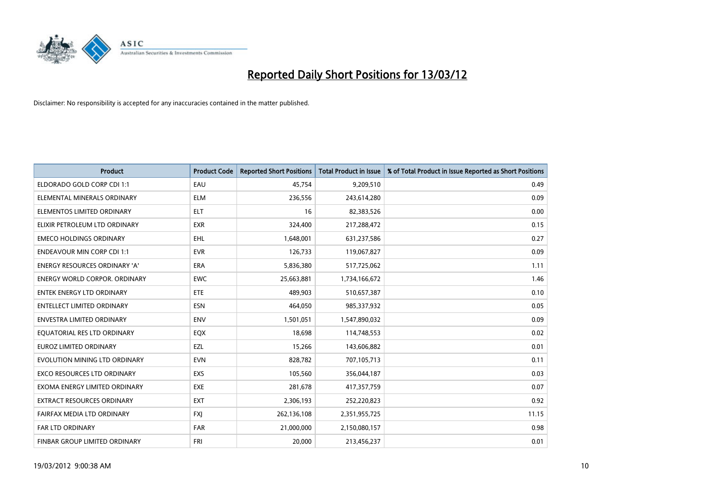

| <b>Product</b>                       | <b>Product Code</b> | <b>Reported Short Positions</b> | <b>Total Product in Issue</b> | % of Total Product in Issue Reported as Short Positions |
|--------------------------------------|---------------------|---------------------------------|-------------------------------|---------------------------------------------------------|
| ELDORADO GOLD CORP CDI 1:1           | EAU                 | 45,754                          | 9,209,510                     | 0.49                                                    |
| ELEMENTAL MINERALS ORDINARY          | <b>ELM</b>          | 236,556                         | 243,614,280                   | 0.09                                                    |
| ELEMENTOS LIMITED ORDINARY           | <b>ELT</b>          | 16                              | 82,383,526                    | 0.00                                                    |
| ELIXIR PETROLEUM LTD ORDINARY        | <b>EXR</b>          | 324,400                         | 217,288,472                   | 0.15                                                    |
| <b>EMECO HOLDINGS ORDINARY</b>       | <b>EHL</b>          | 1,648,001                       | 631,237,586                   | 0.27                                                    |
| <b>ENDEAVOUR MIN CORP CDI 1:1</b>    | <b>EVR</b>          | 126,733                         | 119,067,827                   | 0.09                                                    |
| <b>ENERGY RESOURCES ORDINARY 'A'</b> | <b>ERA</b>          | 5,836,380                       | 517,725,062                   | 1.11                                                    |
| <b>ENERGY WORLD CORPOR, ORDINARY</b> | <b>EWC</b>          | 25,663,881                      | 1,734,166,672                 | 1.46                                                    |
| <b>ENTEK ENERGY LTD ORDINARY</b>     | <b>ETE</b>          | 489,903                         | 510,657,387                   | 0.10                                                    |
| <b>ENTELLECT LIMITED ORDINARY</b>    | <b>ESN</b>          | 464,050                         | 985,337,932                   | 0.05                                                    |
| <b>ENVESTRA LIMITED ORDINARY</b>     | <b>ENV</b>          | 1,501,051                       | 1,547,890,032                 | 0.09                                                    |
| EQUATORIAL RES LTD ORDINARY          | EQX                 | 18,698                          | 114,748,553                   | 0.02                                                    |
| <b>EUROZ LIMITED ORDINARY</b>        | EZL                 | 15,266                          | 143,606,882                   | 0.01                                                    |
| EVOLUTION MINING LTD ORDINARY        | <b>EVN</b>          | 828,782                         | 707,105,713                   | 0.11                                                    |
| <b>EXCO RESOURCES LTD ORDINARY</b>   | <b>EXS</b>          | 105,560                         | 356,044,187                   | 0.03                                                    |
| EXOMA ENERGY LIMITED ORDINARY        | EXE                 | 281,678                         | 417,357,759                   | 0.07                                                    |
| EXTRACT RESOURCES ORDINARY           | EXT                 | 2,306,193                       | 252,220,823                   | 0.92                                                    |
| FAIRFAX MEDIA LTD ORDINARY           | <b>FXJ</b>          | 262,136,108                     | 2,351,955,725                 | 11.15                                                   |
| <b>FAR LTD ORDINARY</b>              | <b>FAR</b>          | 21,000,000                      | 2,150,080,157                 | 0.98                                                    |
| FINBAR GROUP LIMITED ORDINARY        | <b>FRI</b>          | 20,000                          | 213,456,237                   | 0.01                                                    |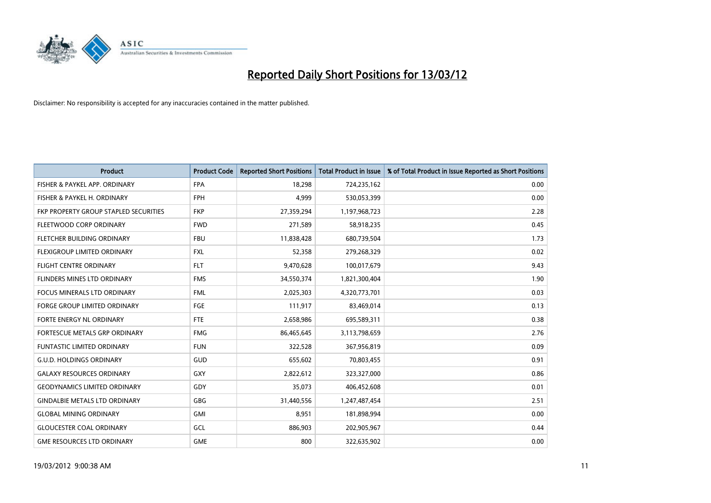

| <b>Product</b>                        | <b>Product Code</b> | <b>Reported Short Positions</b> | <b>Total Product in Issue</b> | % of Total Product in Issue Reported as Short Positions |
|---------------------------------------|---------------------|---------------------------------|-------------------------------|---------------------------------------------------------|
| FISHER & PAYKEL APP. ORDINARY         | <b>FPA</b>          | 18,298                          | 724,235,162                   | 0.00                                                    |
| FISHER & PAYKEL H. ORDINARY           | <b>FPH</b>          | 4,999                           | 530,053,399                   | 0.00                                                    |
| FKP PROPERTY GROUP STAPLED SECURITIES | <b>FKP</b>          | 27,359,294                      | 1,197,968,723                 | 2.28                                                    |
| FLEETWOOD CORP ORDINARY               | <b>FWD</b>          | 271,589                         | 58,918,235                    | 0.45                                                    |
| FLETCHER BUILDING ORDINARY            | <b>FBU</b>          | 11,838,428                      | 680,739,504                   | 1.73                                                    |
| FLEXIGROUP LIMITED ORDINARY           | <b>FXL</b>          | 52,358                          | 279,268,329                   | 0.02                                                    |
| <b>FLIGHT CENTRE ORDINARY</b>         | <b>FLT</b>          | 9,470,628                       | 100,017,679                   | 9.43                                                    |
| FLINDERS MINES LTD ORDINARY           | <b>FMS</b>          | 34,550,374                      | 1,821,300,404                 | 1.90                                                    |
| <b>FOCUS MINERALS LTD ORDINARY</b>    | <b>FML</b>          | 2,025,303                       | 4,320,773,701                 | 0.03                                                    |
| <b>FORGE GROUP LIMITED ORDINARY</b>   | FGE                 | 111,917                         | 83,469,014                    | 0.13                                                    |
| FORTE ENERGY NL ORDINARY              | FTE                 | 2,658,986                       | 695,589,311                   | 0.38                                                    |
| <b>FORTESCUE METALS GRP ORDINARY</b>  | <b>FMG</b>          | 86,465,645                      | 3,113,798,659                 | 2.76                                                    |
| <b>FUNTASTIC LIMITED ORDINARY</b>     | <b>FUN</b>          | 322,528                         | 367,956,819                   | 0.09                                                    |
| <b>G.U.D. HOLDINGS ORDINARY</b>       | GUD                 | 655,602                         | 70,803,455                    | 0.91                                                    |
| <b>GALAXY RESOURCES ORDINARY</b>      | <b>GXY</b>          | 2,822,612                       | 323,327,000                   | 0.86                                                    |
| <b>GEODYNAMICS LIMITED ORDINARY</b>   | GDY                 | 35,073                          | 406,452,608                   | 0.01                                                    |
| <b>GINDALBIE METALS LTD ORDINARY</b>  | GBG                 | 31,440,556                      | 1,247,487,454                 | 2.51                                                    |
| <b>GLOBAL MINING ORDINARY</b>         | GMI                 | 8,951                           | 181,898,994                   | 0.00                                                    |
| <b>GLOUCESTER COAL ORDINARY</b>       | GCL                 | 886,903                         | 202,905,967                   | 0.44                                                    |
| <b>GME RESOURCES LTD ORDINARY</b>     | <b>GME</b>          | 800                             | 322,635,902                   | 0.00                                                    |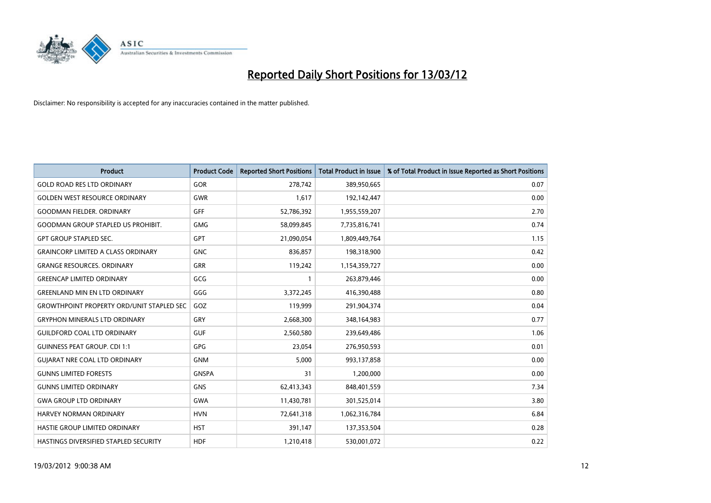

| <b>Product</b>                                   | <b>Product Code</b> | <b>Reported Short Positions</b> | <b>Total Product in Issue</b> | % of Total Product in Issue Reported as Short Positions |
|--------------------------------------------------|---------------------|---------------------------------|-------------------------------|---------------------------------------------------------|
| <b>GOLD ROAD RES LTD ORDINARY</b>                | <b>GOR</b>          | 278,742                         | 389,950,665                   | 0.07                                                    |
| <b>GOLDEN WEST RESOURCE ORDINARY</b>             | <b>GWR</b>          | 1,617                           | 192,142,447                   | 0.00                                                    |
| <b>GOODMAN FIELDER, ORDINARY</b>                 | GFF                 | 52,786,392                      | 1,955,559,207                 | 2.70                                                    |
| <b>GOODMAN GROUP STAPLED US PROHIBIT.</b>        | <b>GMG</b>          | 58,099,845                      | 7,735,816,741                 | 0.74                                                    |
| <b>GPT GROUP STAPLED SEC.</b>                    | GPT                 | 21,090,054                      | 1,809,449,764                 | 1.15                                                    |
| <b>GRAINCORP LIMITED A CLASS ORDINARY</b>        | <b>GNC</b>          | 836,857                         | 198,318,900                   | 0.42                                                    |
| <b>GRANGE RESOURCES, ORDINARY</b>                | GRR                 | 119,242                         | 1,154,359,727                 | 0.00                                                    |
| <b>GREENCAP LIMITED ORDINARY</b>                 | GCG                 | $\mathbf{1}$                    | 263,879,446                   | 0.00                                                    |
| <b>GREENLAND MIN EN LTD ORDINARY</b>             | GGG                 | 3,372,245                       | 416,390,488                   | 0.80                                                    |
| <b>GROWTHPOINT PROPERTY ORD/UNIT STAPLED SEC</b> | GOZ                 | 119,999                         | 291,904,374                   | 0.04                                                    |
| <b>GRYPHON MINERALS LTD ORDINARY</b>             | GRY                 | 2,668,300                       | 348,164,983                   | 0.77                                                    |
| <b>GUILDFORD COAL LTD ORDINARY</b>               | <b>GUF</b>          | 2,560,580                       | 239,649,486                   | 1.06                                                    |
| <b>GUINNESS PEAT GROUP. CDI 1:1</b>              | <b>GPG</b>          | 23,054                          | 276,950,593                   | 0.01                                                    |
| <b>GUIARAT NRE COAL LTD ORDINARY</b>             | <b>GNM</b>          | 5,000                           | 993,137,858                   | 0.00                                                    |
| <b>GUNNS LIMITED FORESTS</b>                     | <b>GNSPA</b>        | 31                              | 1,200,000                     | 0.00                                                    |
| <b>GUNNS LIMITED ORDINARY</b>                    | <b>GNS</b>          | 62,413,343                      | 848,401,559                   | 7.34                                                    |
| <b>GWA GROUP LTD ORDINARY</b>                    | GWA                 | 11,430,781                      | 301,525,014                   | 3.80                                                    |
| <b>HARVEY NORMAN ORDINARY</b>                    | <b>HVN</b>          | 72,641,318                      | 1,062,316,784                 | 6.84                                                    |
| HASTIE GROUP LIMITED ORDINARY                    | <b>HST</b>          | 391,147                         | 137,353,504                   | 0.28                                                    |
| HASTINGS DIVERSIFIED STAPLED SECURITY            | <b>HDF</b>          | 1,210,418                       | 530,001,072                   | 0.22                                                    |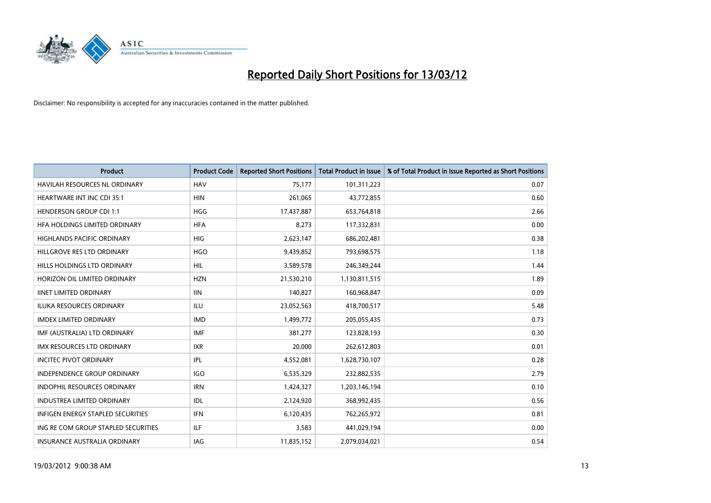

| Product                                  | <b>Product Code</b> | <b>Reported Short Positions</b> | <b>Total Product in Issue</b> | % of Total Product in Issue Reported as Short Positions |
|------------------------------------------|---------------------|---------------------------------|-------------------------------|---------------------------------------------------------|
| <b>HAVILAH RESOURCES NL ORDINARY</b>     | <b>HAV</b>          | 75,177                          | 101,311,223                   | 0.07                                                    |
| HEARTWARE INT INC CDI 35:1               | <b>HIN</b>          | 261,065                         | 43,772,855                    | 0.60                                                    |
| <b>HENDERSON GROUP CDI 1:1</b>           | <b>HGG</b>          | 17,437,887                      | 653,764,818                   | 2.66                                                    |
| HFA HOLDINGS LIMITED ORDINARY            | <b>HFA</b>          | 8,273                           | 117,332,831                   | 0.00                                                    |
| <b>HIGHLANDS PACIFIC ORDINARY</b>        | <b>HIG</b>          | 2,623,147                       | 686,202,481                   | 0.38                                                    |
| HILLGROVE RES LTD ORDINARY               | <b>HGO</b>          | 9,439,852                       | 793,698,575                   | 1.18                                                    |
| HILLS HOLDINGS LTD ORDINARY              | <b>HIL</b>          | 3,589,578                       | 246,349,244                   | 1.44                                                    |
| HORIZON OIL LIMITED ORDINARY             | <b>HZN</b>          | 21,530,210                      | 1,130,811,515                 | 1.89                                                    |
| <b>IINET LIMITED ORDINARY</b>            | <b>IIN</b>          | 140,827                         | 160,968,847                   | 0.09                                                    |
| <b>ILUKA RESOURCES ORDINARY</b>          | ILU                 | 23,052,563                      | 418,700,517                   | 5.48                                                    |
| <b>IMDEX LIMITED ORDINARY</b>            | <b>IMD</b>          | 1,499,772                       | 205,055,435                   | 0.73                                                    |
| IMF (AUSTRALIA) LTD ORDINARY             | <b>IMF</b>          | 381,277                         | 123,828,193                   | 0.30                                                    |
| <b>IMX RESOURCES LTD ORDINARY</b>        | <b>IXR</b>          | 20,000                          | 262,612,803                   | 0.01                                                    |
| <b>INCITEC PIVOT ORDINARY</b>            | IPL                 | 4,552,081                       | 1,628,730,107                 | 0.28                                                    |
| <b>INDEPENDENCE GROUP ORDINARY</b>       | <b>IGO</b>          | 6,535,329                       | 232,882,535                   | 2.79                                                    |
| INDOPHIL RESOURCES ORDINARY              | <b>IRN</b>          | 1,424,327                       | 1,203,146,194                 | 0.10                                                    |
| INDUSTREA LIMITED ORDINARY               | IDL                 | 2,124,920                       | 368,992,435                   | 0.56                                                    |
| <b>INFIGEN ENERGY STAPLED SECURITIES</b> | <b>IFN</b>          | 6,120,435                       | 762,265,972                   | 0.81                                                    |
| ING RE COM GROUP STAPLED SECURITIES      | ILF.                | 3,583                           | 441,029,194                   | 0.00                                                    |
| INSURANCE AUSTRALIA ORDINARY             | IAG                 | 11,835,152                      | 2,079,034,021                 | 0.54                                                    |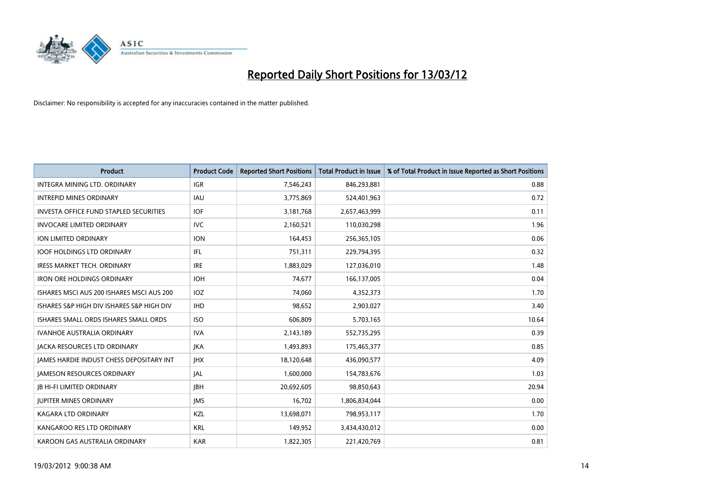

| <b>Product</b>                                | <b>Product Code</b> | <b>Reported Short Positions</b> | <b>Total Product in Issue</b> | % of Total Product in Issue Reported as Short Positions |
|-----------------------------------------------|---------------------|---------------------------------|-------------------------------|---------------------------------------------------------|
| INTEGRA MINING LTD, ORDINARY                  | <b>IGR</b>          | 7,546,243                       | 846,293,881                   | 0.88                                                    |
| <b>INTREPID MINES ORDINARY</b>                | IAU                 | 3,775,869                       | 524,401,963                   | 0.72                                                    |
| <b>INVESTA OFFICE FUND STAPLED SECURITIES</b> | <b>IOF</b>          | 3,181,768                       | 2,657,463,999                 | 0.11                                                    |
| <b>INVOCARE LIMITED ORDINARY</b>              | <b>IVC</b>          | 2,160,521                       | 110,030,298                   | 1.96                                                    |
| <b>ION LIMITED ORDINARY</b>                   | <b>ION</b>          | 164,453                         | 256,365,105                   | 0.06                                                    |
| <b>IOOF HOLDINGS LTD ORDINARY</b>             | IFL                 | 751,311                         | 229,794,395                   | 0.32                                                    |
| <b>IRESS MARKET TECH. ORDINARY</b>            | <b>IRE</b>          | 1,883,029                       | 127,036,010                   | 1.48                                                    |
| <b>IRON ORE HOLDINGS ORDINARY</b>             | <b>IOH</b>          | 74,677                          | 166,137,005                   | 0.04                                                    |
| ISHARES MSCI AUS 200 ISHARES MSCI AUS 200     | <b>IOZ</b>          | 74.060                          | 4,352,373                     | 1.70                                                    |
| ISHARES S&P HIGH DIV ISHARES S&P HIGH DIV     | <b>IHD</b>          | 98,652                          | 2,903,027                     | 3.40                                                    |
| ISHARES SMALL ORDS ISHARES SMALL ORDS         | <b>ISO</b>          | 606,809                         | 5,703,165                     | 10.64                                                   |
| <b>IVANHOE AUSTRALIA ORDINARY</b>             | <b>IVA</b>          | 2,143,189                       | 552,735,295                   | 0.39                                                    |
| <b>JACKA RESOURCES LTD ORDINARY</b>           | <b>JKA</b>          | 1,493,893                       | 175,465,377                   | 0.85                                                    |
| JAMES HARDIE INDUST CHESS DEPOSITARY INT      | <b>JHX</b>          | 18,120,648                      | 436,090,577                   | 4.09                                                    |
| <b>JAMESON RESOURCES ORDINARY</b>             | <b>JAL</b>          | 1,600,000                       | 154,783,676                   | 1.03                                                    |
| <b>JB HI-FI LIMITED ORDINARY</b>              | <b>IBH</b>          | 20,692,605                      | 98,850,643                    | 20.94                                                   |
| <b>JUPITER MINES ORDINARY</b>                 | <b>IMS</b>          | 16,702                          | 1,806,834,044                 | 0.00                                                    |
| <b>KAGARA LTD ORDINARY</b>                    | KZL                 | 13,698,071                      | 798,953,117                   | 1.70                                                    |
| KANGAROO RES LTD ORDINARY                     | <b>KRL</b>          | 149,952                         | 3,434,430,012                 | 0.00                                                    |
| KAROON GAS AUSTRALIA ORDINARY                 | <b>KAR</b>          | 1,822,305                       | 221,420,769                   | 0.81                                                    |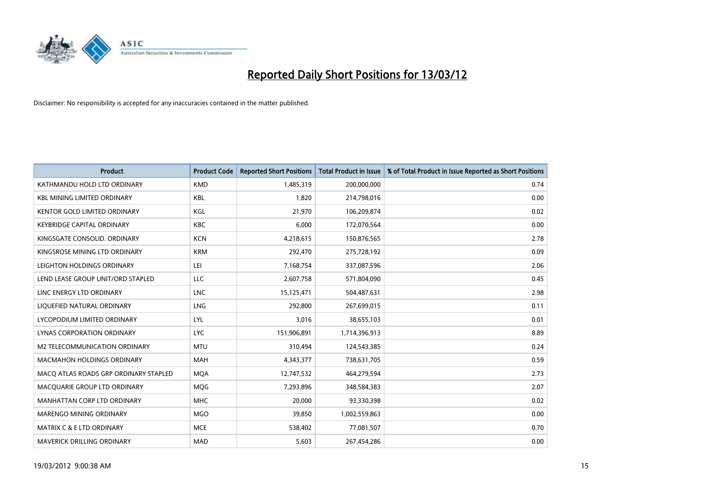

| <b>Product</b>                        | <b>Product Code</b> | <b>Reported Short Positions</b> | <b>Total Product in Issue</b> | % of Total Product in Issue Reported as Short Positions |
|---------------------------------------|---------------------|---------------------------------|-------------------------------|---------------------------------------------------------|
| KATHMANDU HOLD LTD ORDINARY           | <b>KMD</b>          | 1,485,319                       | 200,000,000                   | 0.74                                                    |
| <b>KBL MINING LIMITED ORDINARY</b>    | KBL                 | 1,820                           | 214,798,016                   | 0.00                                                    |
| <b>KENTOR GOLD LIMITED ORDINARY</b>   | KGL                 | 21,970                          | 106,209,874                   | 0.02                                                    |
| <b>KEYBRIDGE CAPITAL ORDINARY</b>     | <b>KBC</b>          | 6,000                           | 172,070,564                   | 0.00                                                    |
| KINGSGATE CONSOLID. ORDINARY          | <b>KCN</b>          | 4,218,615                       | 150,876,565                   | 2.78                                                    |
| KINGSROSE MINING LTD ORDINARY         | <b>KRM</b>          | 292,470                         | 275,728,192                   | 0.09                                                    |
| LEIGHTON HOLDINGS ORDINARY            | LEI                 | 7,168,754                       | 337,087,596                   | 2.06                                                    |
| LEND LEASE GROUP UNIT/ORD STAPLED     | LLC                 | 2,607,758                       | 571,804,090                   | 0.45                                                    |
| LINC ENERGY LTD ORDINARY              | <b>LNC</b>          | 15,125,471                      | 504,487,631                   | 2.98                                                    |
| LIQUEFIED NATURAL ORDINARY            | <b>LNG</b>          | 292,800                         | 267,699,015                   | 0.11                                                    |
| LYCOPODIUM LIMITED ORDINARY           | LYL                 | 3,016                           | 38,655,103                    | 0.01                                                    |
| <b>LYNAS CORPORATION ORDINARY</b>     | <b>LYC</b>          | 151,906,891                     | 1,714,396,913                 | 8.89                                                    |
| M2 TELECOMMUNICATION ORDINARY         | <b>MTU</b>          | 310,494                         | 124,543,385                   | 0.24                                                    |
| <b>MACMAHON HOLDINGS ORDINARY</b>     | MAH                 | 4,343,377                       | 738,631,705                   | 0.59                                                    |
| MACO ATLAS ROADS GRP ORDINARY STAPLED | <b>MQA</b>          | 12,747,532                      | 464,279,594                   | 2.73                                                    |
| MACQUARIE GROUP LTD ORDINARY          | <b>MOG</b>          | 7,293,896                       | 348,584,383                   | 2.07                                                    |
| MANHATTAN CORP LTD ORDINARY           | <b>MHC</b>          | 20,000                          | 93,330,398                    | 0.02                                                    |
| MARENGO MINING ORDINARY               | <b>MGO</b>          | 39,850                          | 1,002,559,863                 | 0.00                                                    |
| <b>MATRIX C &amp; E LTD ORDINARY</b>  | <b>MCE</b>          | 538,402                         | 77,081,507                    | 0.70                                                    |
| MAVERICK DRILLING ORDINARY            | <b>MAD</b>          | 5,603                           | 267,454,286                   | 0.00                                                    |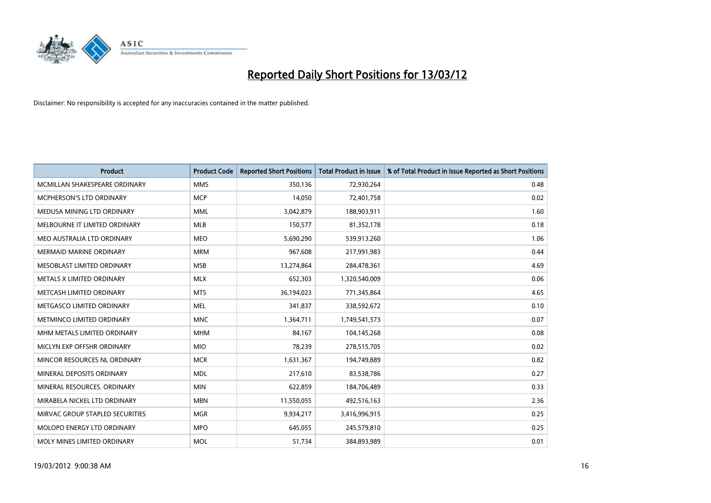

| <b>Product</b>                  | <b>Product Code</b> | <b>Reported Short Positions</b> | <b>Total Product in Issue</b> | % of Total Product in Issue Reported as Short Positions |
|---------------------------------|---------------------|---------------------------------|-------------------------------|---------------------------------------------------------|
| MCMILLAN SHAKESPEARE ORDINARY   | <b>MMS</b>          | 350,136                         | 72,930,264                    | 0.48                                                    |
| MCPHERSON'S LTD ORDINARY        | <b>MCP</b>          | 14,050                          | 72,401,758                    | 0.02                                                    |
| MEDUSA MINING LTD ORDINARY      | <b>MML</b>          | 3,042,879                       | 188,903,911                   | 1.60                                                    |
| MELBOURNE IT LIMITED ORDINARY   | <b>MLB</b>          | 150,577                         | 81,352,178                    | 0.18                                                    |
| MEO AUSTRALIA LTD ORDINARY      | <b>MEO</b>          | 5,690,290                       | 539,913,260                   | 1.06                                                    |
| <b>MERMAID MARINE ORDINARY</b>  | <b>MRM</b>          | 967,608                         | 217,991,983                   | 0.44                                                    |
| MESOBLAST LIMITED ORDINARY      | <b>MSB</b>          | 13,274,864                      | 284,478,361                   | 4.69                                                    |
| METALS X LIMITED ORDINARY       | <b>MLX</b>          | 652,303                         | 1,320,540,009                 | 0.06                                                    |
| METCASH LIMITED ORDINARY        | <b>MTS</b>          | 36,194,023                      | 771,345,864                   | 4.65                                                    |
| METGASCO LIMITED ORDINARY       | <b>MEL</b>          | 341,837                         | 338,592,672                   | 0.10                                                    |
| METMINCO LIMITED ORDINARY       | <b>MNC</b>          | 1,364,711                       | 1,749,541,573                 | 0.07                                                    |
| MHM METALS LIMITED ORDINARY     | <b>MHM</b>          | 84,167                          | 104,145,268                   | 0.08                                                    |
| MICLYN EXP OFFSHR ORDINARY      | <b>MIO</b>          | 78,239                          | 278,515,705                   | 0.02                                                    |
| MINCOR RESOURCES NL ORDINARY    | <b>MCR</b>          | 1,631,367                       | 194,749,889                   | 0.82                                                    |
| MINERAL DEPOSITS ORDINARY       | <b>MDL</b>          | 217,610                         | 83,538,786                    | 0.27                                                    |
| MINERAL RESOURCES, ORDINARY     | <b>MIN</b>          | 622,859                         | 184,706,489                   | 0.33                                                    |
| MIRABELA NICKEL LTD ORDINARY    | <b>MBN</b>          | 11,550,055                      | 492,516,163                   | 2.36                                                    |
| MIRVAC GROUP STAPLED SECURITIES | <b>MGR</b>          | 9,934,217                       | 3,416,996,915                 | 0.25                                                    |
| MOLOPO ENERGY LTD ORDINARY      | <b>MPO</b>          | 645,055                         | 245,579,810                   | 0.25                                                    |
| MOLY MINES LIMITED ORDINARY     | <b>MOL</b>          | 51,734                          | 384,893,989                   | 0.01                                                    |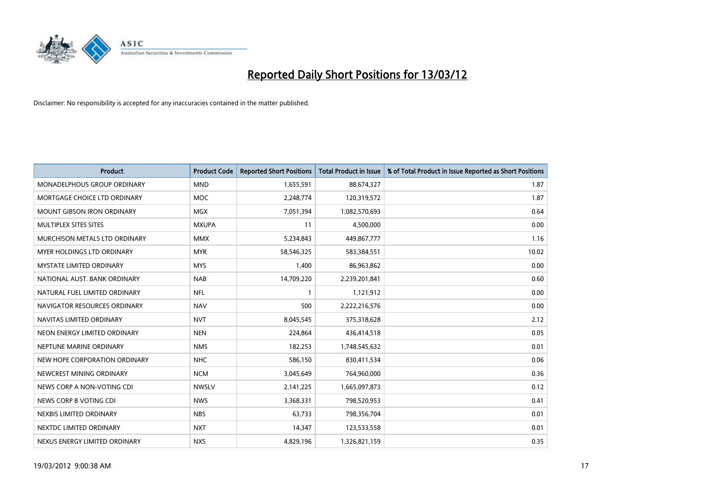

| <b>Product</b>                     | <b>Product Code</b> | <b>Reported Short Positions</b> | <b>Total Product in Issue</b> | % of Total Product in Issue Reported as Short Positions |
|------------------------------------|---------------------|---------------------------------|-------------------------------|---------------------------------------------------------|
| <b>MONADELPHOUS GROUP ORDINARY</b> | <b>MND</b>          | 1,655,591                       | 88,674,327                    | 1.87                                                    |
| MORTGAGE CHOICE LTD ORDINARY       | MOC                 | 2,248,774                       | 120,319,572                   | 1.87                                                    |
| <b>MOUNT GIBSON IRON ORDINARY</b>  | <b>MGX</b>          | 7,051,394                       | 1,082,570,693                 | 0.64                                                    |
| MULTIPLEX SITES SITES              | <b>MXUPA</b>        | 11                              | 4,500,000                     | 0.00                                                    |
| MURCHISON METALS LTD ORDINARY      | <b>MMX</b>          | 5,234,843                       | 449,867,777                   | 1.16                                                    |
| MYER HOLDINGS LTD ORDINARY         | <b>MYR</b>          | 58,546,325                      | 583,384,551                   | 10.02                                                   |
| <b>MYSTATE LIMITED ORDINARY</b>    | <b>MYS</b>          | 1,400                           | 86,963,862                    | 0.00                                                    |
| NATIONAL AUST, BANK ORDINARY       | <b>NAB</b>          | 14,709,220                      | 2,239,201,841                 | 0.60                                                    |
| NATURAL FUEL LIMITED ORDINARY      | <b>NFL</b>          | $\mathbf{1}$                    | 1,121,912                     | 0.00                                                    |
| NAVIGATOR RESOURCES ORDINARY       | <b>NAV</b>          | 500                             | 2,222,216,576                 | 0.00                                                    |
| NAVITAS LIMITED ORDINARY           | <b>NVT</b>          | 8,045,545                       | 375,318,628                   | 2.12                                                    |
| NEON ENERGY LIMITED ORDINARY       | <b>NEN</b>          | 224,864                         | 436,414,518                   | 0.05                                                    |
| NEPTUNE MARINE ORDINARY            | <b>NMS</b>          | 182,253                         | 1,748,545,632                 | 0.01                                                    |
| NEW HOPE CORPORATION ORDINARY      | <b>NHC</b>          | 586,150                         | 830,411,534                   | 0.06                                                    |
| NEWCREST MINING ORDINARY           | <b>NCM</b>          | 3,045,649                       | 764,960,000                   | 0.36                                                    |
| NEWS CORP A NON-VOTING CDI         | <b>NWSLV</b>        | 2,141,225                       | 1,665,097,873                 | 0.12                                                    |
| NEWS CORP B VOTING CDI             | <b>NWS</b>          | 3,368,331                       | 798,520,953                   | 0.41                                                    |
| NEXBIS LIMITED ORDINARY            | <b>NBS</b>          | 63,733                          | 798,356,704                   | 0.01                                                    |
| NEXTDC LIMITED ORDINARY            | <b>NXT</b>          | 14,347                          | 123,533,558                   | 0.01                                                    |
| NEXUS ENERGY LIMITED ORDINARY      | <b>NXS</b>          | 4,829,196                       | 1,326,821,159                 | 0.35                                                    |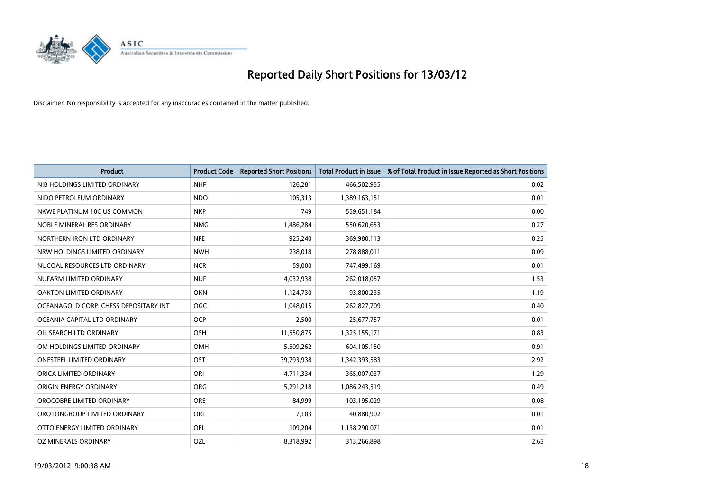

| <b>Product</b>                        | <b>Product Code</b> | <b>Reported Short Positions</b> | <b>Total Product in Issue</b> | % of Total Product in Issue Reported as Short Positions |
|---------------------------------------|---------------------|---------------------------------|-------------------------------|---------------------------------------------------------|
| NIB HOLDINGS LIMITED ORDINARY         | <b>NHF</b>          | 126,281                         | 466,502,955                   | 0.02                                                    |
| NIDO PETROLEUM ORDINARY               | <b>NDO</b>          | 105,313                         | 1,389,163,151                 | 0.01                                                    |
| NKWE PLATINUM 10C US COMMON           | <b>NKP</b>          | 749                             | 559,651,184                   | 0.00                                                    |
| NOBLE MINERAL RES ORDINARY            | <b>NMG</b>          | 1,486,284                       | 550,620,653                   | 0.27                                                    |
| NORTHERN IRON LTD ORDINARY            | <b>NFE</b>          | 925,240                         | 369,980,113                   | 0.25                                                    |
| NRW HOLDINGS LIMITED ORDINARY         | <b>NWH</b>          | 238,018                         | 278,888,011                   | 0.09                                                    |
| NUCOAL RESOURCES LTD ORDINARY         | <b>NCR</b>          | 59,000                          | 747,499,169                   | 0.01                                                    |
| NUFARM LIMITED ORDINARY               | <b>NUF</b>          | 4,032,938                       | 262,018,057                   | 1.53                                                    |
| <b>OAKTON LIMITED ORDINARY</b>        | <b>OKN</b>          | 1,124,730                       | 93,800,235                    | 1.19                                                    |
| OCEANAGOLD CORP. CHESS DEPOSITARY INT | <b>OGC</b>          | 1,048,015                       | 262,827,709                   | 0.40                                                    |
| OCEANIA CAPITAL LTD ORDINARY          | <b>OCP</b>          | 2,500                           | 25,677,757                    | 0.01                                                    |
| OIL SEARCH LTD ORDINARY               | OSH                 | 11,550,875                      | 1,325,155,171                 | 0.83                                                    |
| OM HOLDINGS LIMITED ORDINARY          | OMH                 | 5,509,262                       | 604,105,150                   | 0.91                                                    |
| <b>ONESTEEL LIMITED ORDINARY</b>      | OST                 | 39,793,938                      | 1,342,393,583                 | 2.92                                                    |
| ORICA LIMITED ORDINARY                | ORI                 | 4,711,334                       | 365,007,037                   | 1.29                                                    |
| ORIGIN ENERGY ORDINARY                | <b>ORG</b>          | 5,291,218                       | 1,086,243,519                 | 0.49                                                    |
| OROCOBRE LIMITED ORDINARY             | <b>ORE</b>          | 84,999                          | 103,195,029                   | 0.08                                                    |
| OROTONGROUP LIMITED ORDINARY          | ORL                 | 7,103                           | 40,880,902                    | 0.01                                                    |
| OTTO ENERGY LIMITED ORDINARY          | <b>OEL</b>          | 109,204                         | 1,138,290,071                 | 0.01                                                    |
| OZ MINERALS ORDINARY                  | OZL                 | 8,318,992                       | 313,266,898                   | 2.65                                                    |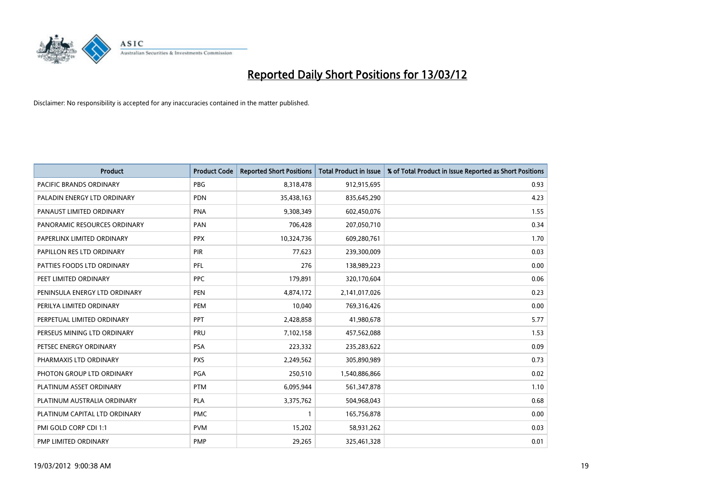

| <b>Product</b>                 | <b>Product Code</b> | <b>Reported Short Positions</b> | <b>Total Product in Issue</b> | % of Total Product in Issue Reported as Short Positions |
|--------------------------------|---------------------|---------------------------------|-------------------------------|---------------------------------------------------------|
| <b>PACIFIC BRANDS ORDINARY</b> | <b>PBG</b>          | 8,318,478                       | 912,915,695                   | 0.93                                                    |
| PALADIN ENERGY LTD ORDINARY    | <b>PDN</b>          | 35,438,163                      | 835,645,290                   | 4.23                                                    |
| PANAUST LIMITED ORDINARY       | <b>PNA</b>          | 9,308,349                       | 602,450,076                   | 1.55                                                    |
| PANORAMIC RESOURCES ORDINARY   | PAN                 | 706,428                         | 207,050,710                   | 0.34                                                    |
| PAPERLINX LIMITED ORDINARY     | <b>PPX</b>          | 10,324,736                      | 609,280,761                   | 1.70                                                    |
| PAPILLON RES LTD ORDINARY      | PIR                 | 77,623                          | 239,300,009                   | 0.03                                                    |
| PATTIES FOODS LTD ORDINARY     | PFL                 | 276                             | 138,989,223                   | 0.00                                                    |
| PEET LIMITED ORDINARY          | <b>PPC</b>          | 179,891                         | 320,170,604                   | 0.06                                                    |
| PENINSULA ENERGY LTD ORDINARY  | <b>PEN</b>          | 4,874,172                       | 2,141,017,026                 | 0.23                                                    |
| PERILYA LIMITED ORDINARY       | PEM                 | 10,040                          | 769,316,426                   | 0.00                                                    |
| PERPETUAL LIMITED ORDINARY     | PPT                 | 2,428,858                       | 41,980,678                    | 5.77                                                    |
| PERSEUS MINING LTD ORDINARY    | PRU                 | 7,102,158                       | 457,562,088                   | 1.53                                                    |
| PETSEC ENERGY ORDINARY         | <b>PSA</b>          | 223,332                         | 235,283,622                   | 0.09                                                    |
| PHARMAXIS LTD ORDINARY         | <b>PXS</b>          | 2,249,562                       | 305,890,989                   | 0.73                                                    |
| PHOTON GROUP LTD ORDINARY      | PGA                 | 250,510                         | 1,540,886,866                 | 0.02                                                    |
| PLATINUM ASSET ORDINARY        | <b>PTM</b>          | 6,095,944                       | 561,347,878                   | 1.10                                                    |
| PLATINUM AUSTRALIA ORDINARY    | <b>PLA</b>          | 3,375,762                       | 504,968,043                   | 0.68                                                    |
| PLATINUM CAPITAL LTD ORDINARY  | <b>PMC</b>          |                                 | 165,756,878                   | 0.00                                                    |
| PMI GOLD CORP CDI 1:1          | <b>PVM</b>          | 15,202                          | 58,931,262                    | 0.03                                                    |
| PMP LIMITED ORDINARY           | <b>PMP</b>          | 29,265                          | 325,461,328                   | 0.01                                                    |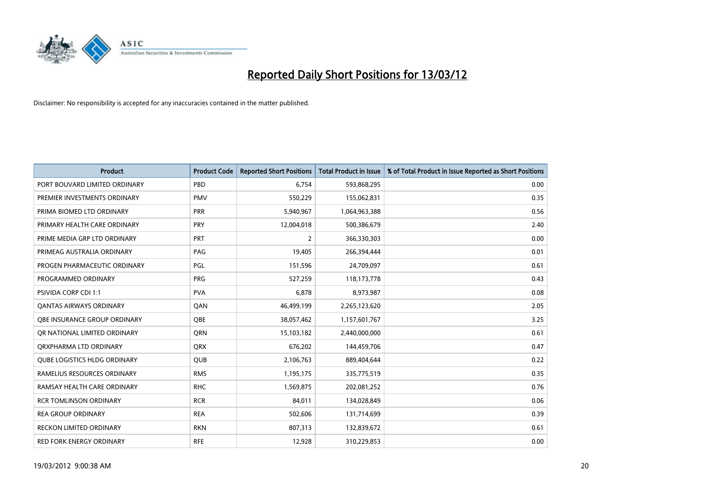

| <b>Product</b>                      | <b>Product Code</b> | <b>Reported Short Positions</b> | <b>Total Product in Issue</b> | % of Total Product in Issue Reported as Short Positions |
|-------------------------------------|---------------------|---------------------------------|-------------------------------|---------------------------------------------------------|
| PORT BOUVARD LIMITED ORDINARY       | PBD                 | 6,754                           | 593,868,295                   | 0.00                                                    |
| PREMIER INVESTMENTS ORDINARY        | <b>PMV</b>          | 550,229                         | 155,062,831                   | 0.35                                                    |
| PRIMA BIOMED LTD ORDINARY           | <b>PRR</b>          | 5,940,967                       | 1,064,963,388                 | 0.56                                                    |
| PRIMARY HEALTH CARE ORDINARY        | <b>PRY</b>          | 12,004,018                      | 500,386,679                   | 2.40                                                    |
| PRIME MEDIA GRP LTD ORDINARY        | PRT                 | 2                               | 366,330,303                   | 0.00                                                    |
| PRIMEAG AUSTRALIA ORDINARY          | PAG                 | 19,405                          | 266,394,444                   | 0.01                                                    |
| PROGEN PHARMACEUTIC ORDINARY        | PGL                 | 151,596                         | 24,709,097                    | 0.61                                                    |
| PROGRAMMED ORDINARY                 | <b>PRG</b>          | 527,259                         | 118,173,778                   | 0.43                                                    |
| <b>PSIVIDA CORP CDI 1:1</b>         | <b>PVA</b>          | 6,878                           | 8,973,987                     | 0.08                                                    |
| <b>QANTAS AIRWAYS ORDINARY</b>      | QAN                 | 46,499,199                      | 2,265,123,620                 | 2.05                                                    |
| OBE INSURANCE GROUP ORDINARY        | <b>OBE</b>          | 38,057,462                      | 1,157,601,767                 | 3.25                                                    |
| OR NATIONAL LIMITED ORDINARY        | <b>ORN</b>          | 15,103,182                      | 2,440,000,000                 | 0.61                                                    |
| ORXPHARMA LTD ORDINARY              | QRX                 | 676,202                         | 144,459,706                   | 0.47                                                    |
| <b>QUBE LOGISTICS HLDG ORDINARY</b> | QUB                 | 2,106,763                       | 889,404,644                   | 0.22                                                    |
| RAMELIUS RESOURCES ORDINARY         | <b>RMS</b>          | 1,195,175                       | 335,775,519                   | 0.35                                                    |
| RAMSAY HEALTH CARE ORDINARY         | <b>RHC</b>          | 1,569,875                       | 202,081,252                   | 0.76                                                    |
| <b>RCR TOMLINSON ORDINARY</b>       | <b>RCR</b>          | 84,011                          | 134,028,849                   | 0.06                                                    |
| <b>REA GROUP ORDINARY</b>           | <b>REA</b>          | 502,606                         | 131,714,699                   | 0.39                                                    |
| <b>RECKON LIMITED ORDINARY</b>      | <b>RKN</b>          | 807,313                         | 132,839,672                   | 0.61                                                    |
| RED FORK ENERGY ORDINARY            | <b>RFE</b>          | 12,928                          | 310,229,853                   | 0.00                                                    |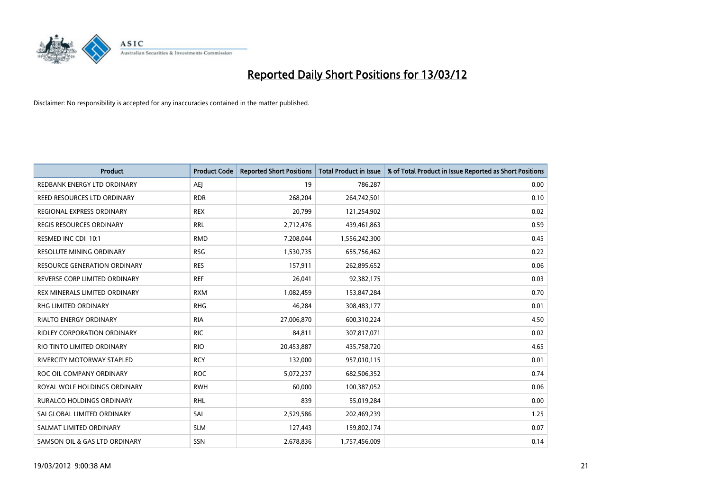

| <b>Product</b>                     | <b>Product Code</b> | <b>Reported Short Positions</b> | <b>Total Product in Issue</b> | % of Total Product in Issue Reported as Short Positions |
|------------------------------------|---------------------|---------------------------------|-------------------------------|---------------------------------------------------------|
| REDBANK ENERGY LTD ORDINARY        | AEJ                 | 19                              | 786,287                       | 0.00                                                    |
| REED RESOURCES LTD ORDINARY        | <b>RDR</b>          | 268,204                         | 264,742,501                   | 0.10                                                    |
| REGIONAL EXPRESS ORDINARY          | <b>REX</b>          | 20,799                          | 121,254,902                   | 0.02                                                    |
| REGIS RESOURCES ORDINARY           | <b>RRL</b>          | 2,712,476                       | 439,461,863                   | 0.59                                                    |
| RESMED INC CDI 10:1                | <b>RMD</b>          | 7,208,044                       | 1,556,242,300                 | 0.45                                                    |
| <b>RESOLUTE MINING ORDINARY</b>    | <b>RSG</b>          | 1,530,735                       | 655,756,462                   | 0.22                                                    |
| RESOURCE GENERATION ORDINARY       | <b>RES</b>          | 157,911                         | 262,895,652                   | 0.06                                                    |
| REVERSE CORP LIMITED ORDINARY      | <b>REF</b>          | 26,041                          | 92,382,175                    | 0.03                                                    |
| REX MINERALS LIMITED ORDINARY      | <b>RXM</b>          | 1,082,459                       | 153,847,284                   | 0.70                                                    |
| <b>RHG LIMITED ORDINARY</b>        | <b>RHG</b>          | 46,284                          | 308,483,177                   | 0.01                                                    |
| RIALTO ENERGY ORDINARY             | <b>RIA</b>          | 27,006,870                      | 600,310,224                   | 4.50                                                    |
| <b>RIDLEY CORPORATION ORDINARY</b> | <b>RIC</b>          | 84,811                          | 307,817,071                   | 0.02                                                    |
| RIO TINTO LIMITED ORDINARY         | <b>RIO</b>          | 20,453,887                      | 435,758,720                   | 4.65                                                    |
| <b>RIVERCITY MOTORWAY STAPLED</b>  | <b>RCY</b>          | 132,000                         | 957,010,115                   | 0.01                                                    |
| ROC OIL COMPANY ORDINARY           | <b>ROC</b>          | 5,072,237                       | 682,506,352                   | 0.74                                                    |
| ROYAL WOLF HOLDINGS ORDINARY       | <b>RWH</b>          | 60,000                          | 100,387,052                   | 0.06                                                    |
| RURALCO HOLDINGS ORDINARY          | <b>RHL</b>          | 839                             | 55,019,284                    | 0.00                                                    |
| SAI GLOBAL LIMITED ORDINARY        | SAI                 | 2,529,586                       | 202,469,239                   | 1.25                                                    |
| SALMAT LIMITED ORDINARY            | <b>SLM</b>          | 127,443                         | 159,802,174                   | 0.07                                                    |
| SAMSON OIL & GAS LTD ORDINARY      | SSN                 | 2,678,836                       | 1,757,456,009                 | 0.14                                                    |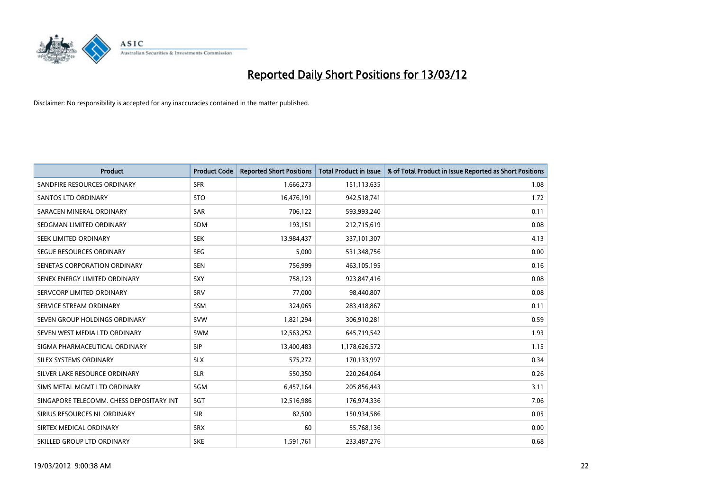

| <b>Product</b>                           | <b>Product Code</b> | <b>Reported Short Positions</b> | <b>Total Product in Issue</b> | % of Total Product in Issue Reported as Short Positions |
|------------------------------------------|---------------------|---------------------------------|-------------------------------|---------------------------------------------------------|
| SANDFIRE RESOURCES ORDINARY              | <b>SFR</b>          | 1,666,273                       | 151,113,635                   | 1.08                                                    |
| <b>SANTOS LTD ORDINARY</b>               | <b>STO</b>          | 16,476,191                      | 942,518,741                   | 1.72                                                    |
| SARACEN MINERAL ORDINARY                 | <b>SAR</b>          | 706,122                         | 593,993,240                   | 0.11                                                    |
| SEDGMAN LIMITED ORDINARY                 | <b>SDM</b>          | 193,151                         | 212,715,619                   | 0.08                                                    |
| SEEK LIMITED ORDINARY                    | <b>SEK</b>          | 13,984,437                      | 337,101,307                   | 4.13                                                    |
| SEGUE RESOURCES ORDINARY                 | <b>SEG</b>          | 5,000                           | 531,348,756                   | 0.00                                                    |
| SENETAS CORPORATION ORDINARY             | <b>SEN</b>          | 756,999                         | 463,105,195                   | 0.16                                                    |
| SENEX ENERGY LIMITED ORDINARY            | <b>SXY</b>          | 758,123                         | 923,847,416                   | 0.08                                                    |
| SERVCORP LIMITED ORDINARY                | SRV                 | 77,000                          | 98,440,807                    | 0.08                                                    |
| SERVICE STREAM ORDINARY                  | SSM                 | 324,065                         | 283,418,867                   | 0.11                                                    |
| SEVEN GROUP HOLDINGS ORDINARY            | <b>SVW</b>          | 1,821,294                       | 306,910,281                   | 0.59                                                    |
| SEVEN WEST MEDIA LTD ORDINARY            | <b>SWM</b>          | 12,563,252                      | 645,719,542                   | 1.93                                                    |
| SIGMA PHARMACEUTICAL ORDINARY            | <b>SIP</b>          | 13,400,483                      | 1,178,626,572                 | 1.15                                                    |
| SILEX SYSTEMS ORDINARY                   | <b>SLX</b>          | 575,272                         | 170,133,997                   | 0.34                                                    |
| SILVER LAKE RESOURCE ORDINARY            | <b>SLR</b>          | 550,350                         | 220,264,064                   | 0.26                                                    |
| SIMS METAL MGMT LTD ORDINARY             | SGM                 | 6,457,164                       | 205,856,443                   | 3.11                                                    |
| SINGAPORE TELECOMM. CHESS DEPOSITARY INT | <b>SGT</b>          | 12,516,986                      | 176,974,336                   | 7.06                                                    |
| SIRIUS RESOURCES NL ORDINARY             | <b>SIR</b>          | 82,500                          | 150,934,586                   | 0.05                                                    |
| SIRTEX MEDICAL ORDINARY                  | <b>SRX</b>          | 60                              | 55,768,136                    | 0.00                                                    |
| SKILLED GROUP LTD ORDINARY               | <b>SKE</b>          | 1,591,761                       | 233,487,276                   | 0.68                                                    |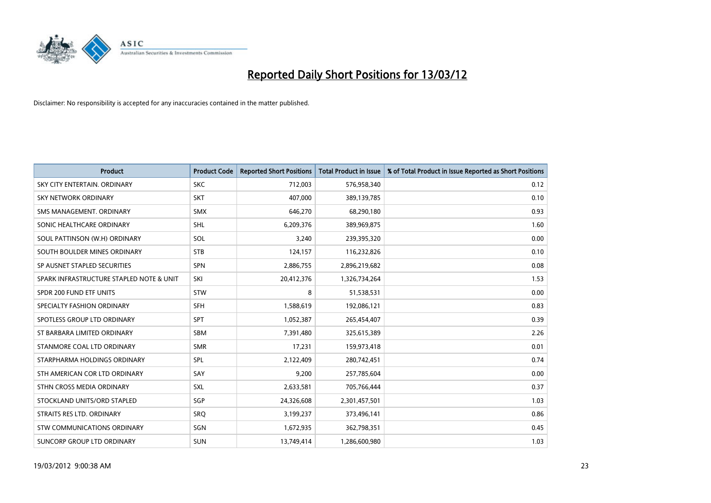

| <b>Product</b>                           | <b>Product Code</b> | <b>Reported Short Positions</b> | <b>Total Product in Issue</b> | % of Total Product in Issue Reported as Short Positions |
|------------------------------------------|---------------------|---------------------------------|-------------------------------|---------------------------------------------------------|
| SKY CITY ENTERTAIN, ORDINARY             | <b>SKC</b>          | 712,003                         | 576,958,340                   | 0.12                                                    |
| SKY NETWORK ORDINARY                     | <b>SKT</b>          | 407,000                         | 389,139,785                   | 0.10                                                    |
| SMS MANAGEMENT, ORDINARY                 | <b>SMX</b>          | 646,270                         | 68,290,180                    | 0.93                                                    |
| SONIC HEALTHCARE ORDINARY                | SHL                 | 6,209,376                       | 389,969,875                   | 1.60                                                    |
| SOUL PATTINSON (W.H) ORDINARY            | SOL                 | 3,240                           | 239,395,320                   | 0.00                                                    |
| SOUTH BOULDER MINES ORDINARY             | <b>STB</b>          | 124,157                         | 116,232,826                   | 0.10                                                    |
| SP AUSNET STAPLED SECURITIES             | <b>SPN</b>          | 2,886,755                       | 2,896,219,682                 | 0.08                                                    |
| SPARK INFRASTRUCTURE STAPLED NOTE & UNIT | SKI                 | 20,412,376                      | 1,326,734,264                 | 1.53                                                    |
| SPDR 200 FUND ETF UNITS                  | <b>STW</b>          | 8                               | 51,538,531                    | 0.00                                                    |
| SPECIALTY FASHION ORDINARY               | <b>SFH</b>          | 1,588,619                       | 192,086,121                   | 0.83                                                    |
| SPOTLESS GROUP LTD ORDINARY              | <b>SPT</b>          | 1,052,387                       | 265,454,407                   | 0.39                                                    |
| ST BARBARA LIMITED ORDINARY              | <b>SBM</b>          | 7,391,480                       | 325,615,389                   | 2.26                                                    |
| STANMORE COAL LTD ORDINARY               | <b>SMR</b>          | 17,231                          | 159,973,418                   | 0.01                                                    |
| STARPHARMA HOLDINGS ORDINARY             | SPL                 | 2,122,409                       | 280,742,451                   | 0.74                                                    |
| STH AMERICAN COR LTD ORDINARY            | SAY                 | 9,200                           | 257,785,604                   | 0.00                                                    |
| STHN CROSS MEDIA ORDINARY                | <b>SXL</b>          | 2,633,581                       | 705,766,444                   | 0.37                                                    |
| STOCKLAND UNITS/ORD STAPLED              | SGP                 | 24,326,608                      | 2,301,457,501                 | 1.03                                                    |
| STRAITS RES LTD. ORDINARY                | <b>SRO</b>          | 3,199,237                       | 373,496,141                   | 0.86                                                    |
| STW COMMUNICATIONS ORDINARY              | SGN                 | 1,672,935                       | 362,798,351                   | 0.45                                                    |
| SUNCORP GROUP LTD ORDINARY               | <b>SUN</b>          | 13,749,414                      | 1,286,600,980                 | 1.03                                                    |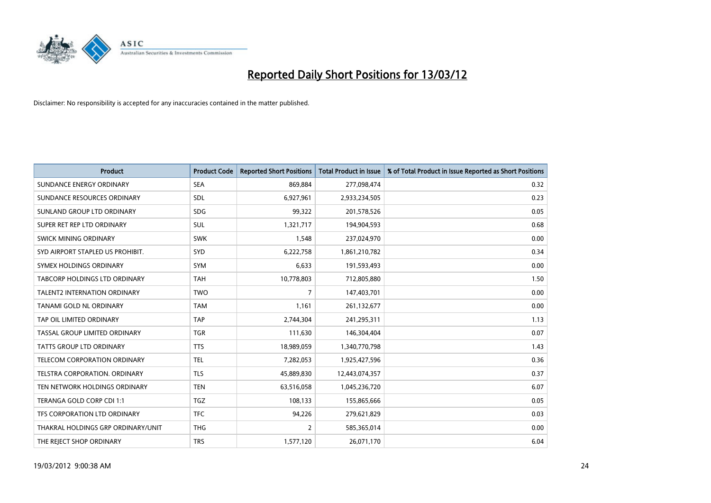

| <b>Product</b>                      | <b>Product Code</b> | <b>Reported Short Positions</b> | <b>Total Product in Issue</b> | % of Total Product in Issue Reported as Short Positions |
|-------------------------------------|---------------------|---------------------------------|-------------------------------|---------------------------------------------------------|
| SUNDANCE ENERGY ORDINARY            | <b>SEA</b>          | 869,884                         | 277,098,474                   | 0.32                                                    |
| SUNDANCE RESOURCES ORDINARY         | <b>SDL</b>          | 6,927,961                       | 2,933,234,505                 | 0.23                                                    |
| SUNLAND GROUP LTD ORDINARY          | <b>SDG</b>          | 99,322                          | 201,578,526                   | 0.05                                                    |
| SUPER RET REP LTD ORDINARY          | <b>SUL</b>          | 1,321,717                       | 194,904,593                   | 0.68                                                    |
| SWICK MINING ORDINARY               | <b>SWK</b>          | 1,548                           | 237,024,970                   | 0.00                                                    |
| SYD AIRPORT STAPLED US PROHIBIT.    | <b>SYD</b>          | 6,222,758                       | 1,861,210,782                 | 0.34                                                    |
| SYMEX HOLDINGS ORDINARY             | <b>SYM</b>          | 6,633                           | 191,593,493                   | 0.00                                                    |
| TABCORP HOLDINGS LTD ORDINARY       | <b>TAH</b>          | 10,778,803                      | 712,805,880                   | 1.50                                                    |
| <b>TALENT2 INTERNATION ORDINARY</b> | <b>TWO</b>          | $\overline{7}$                  | 147,403,701                   | 0.00                                                    |
| TANAMI GOLD NL ORDINARY             | <b>TAM</b>          | 1,161                           | 261,132,677                   | 0.00                                                    |
| TAP OIL LIMITED ORDINARY            | <b>TAP</b>          | 2,744,304                       | 241,295,311                   | 1.13                                                    |
| TASSAL GROUP LIMITED ORDINARY       | <b>TGR</b>          | 111,630                         | 146,304,404                   | 0.07                                                    |
| TATTS GROUP LTD ORDINARY            | <b>TTS</b>          | 18,989,059                      | 1,340,770,798                 | 1.43                                                    |
| TELECOM CORPORATION ORDINARY        | <b>TEL</b>          | 7,282,053                       | 1,925,427,596                 | 0.36                                                    |
| TELSTRA CORPORATION. ORDINARY       | <b>TLS</b>          | 45,889,830                      | 12,443,074,357                | 0.37                                                    |
| TEN NETWORK HOLDINGS ORDINARY       | <b>TEN</b>          | 63,516,058                      | 1,045,236,720                 | 6.07                                                    |
| TERANGA GOLD CORP CDI 1:1           | <b>TGZ</b>          | 108,133                         | 155,865,666                   | 0.05                                                    |
| TFS CORPORATION LTD ORDINARY        | <b>TFC</b>          | 94,226                          | 279,621,829                   | 0.03                                                    |
| THAKRAL HOLDINGS GRP ORDINARY/UNIT  | <b>THG</b>          | $\overline{2}$                  | 585,365,014                   | 0.00                                                    |
| THE REJECT SHOP ORDINARY            | <b>TRS</b>          | 1,577,120                       | 26,071,170                    | 6.04                                                    |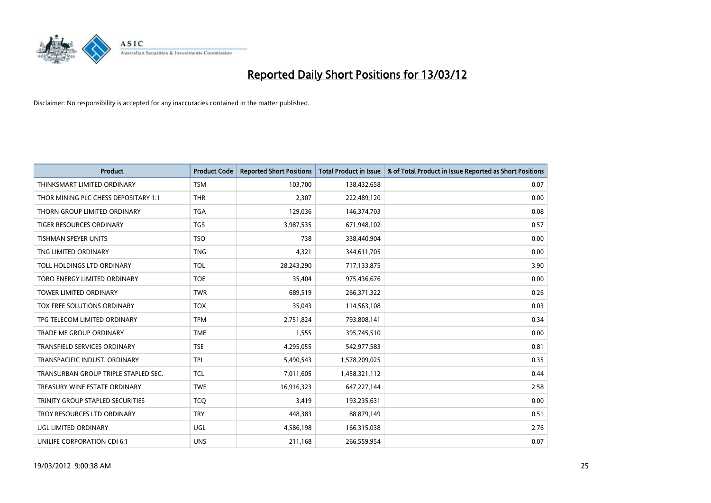

| <b>Product</b>                       | <b>Product Code</b> | <b>Reported Short Positions</b> | <b>Total Product in Issue</b> | % of Total Product in Issue Reported as Short Positions |
|--------------------------------------|---------------------|---------------------------------|-------------------------------|---------------------------------------------------------|
| THINKSMART LIMITED ORDINARY          | <b>TSM</b>          | 103,700                         | 138,432,658                   | 0.07                                                    |
| THOR MINING PLC CHESS DEPOSITARY 1:1 | <b>THR</b>          | 2,307                           | 222,489,120                   | 0.00                                                    |
| THORN GROUP LIMITED ORDINARY         | <b>TGA</b>          | 129,036                         | 146,374,703                   | 0.08                                                    |
| TIGER RESOURCES ORDINARY             | <b>TGS</b>          | 3,987,535                       | 671,948,102                   | 0.57                                                    |
| <b>TISHMAN SPEYER UNITS</b>          | <b>TSO</b>          | 738                             | 338,440,904                   | 0.00                                                    |
| TNG LIMITED ORDINARY                 | <b>TNG</b>          | 4,321                           | 344,611,705                   | 0.00                                                    |
| <b>TOLL HOLDINGS LTD ORDINARY</b>    | <b>TOL</b>          | 28,243,290                      | 717,133,875                   | 3.90                                                    |
| TORO ENERGY LIMITED ORDINARY         | <b>TOE</b>          | 35,404                          | 975,436,676                   | 0.00                                                    |
| <b>TOWER LIMITED ORDINARY</b>        | <b>TWR</b>          | 689,519                         | 266,371,322                   | 0.26                                                    |
| TOX FREE SOLUTIONS ORDINARY          | <b>TOX</b>          | 35,043                          | 114,563,108                   | 0.03                                                    |
| TPG TELECOM LIMITED ORDINARY         | <b>TPM</b>          | 2,751,824                       | 793,808,141                   | 0.34                                                    |
| <b>TRADE ME GROUP ORDINARY</b>       | <b>TME</b>          | 1,555                           | 395,745,510                   | 0.00                                                    |
| <b>TRANSFIELD SERVICES ORDINARY</b>  | <b>TSE</b>          | 4,295,055                       | 542,977,583                   | 0.81                                                    |
| TRANSPACIFIC INDUST, ORDINARY        | <b>TPI</b>          | 5,490,543                       | 1,578,209,025                 | 0.35                                                    |
| TRANSURBAN GROUP TRIPLE STAPLED SEC. | <b>TCL</b>          | 7,011,605                       | 1,458,321,112                 | 0.44                                                    |
| TREASURY WINE ESTATE ORDINARY        | <b>TWE</b>          | 16,916,323                      | 647,227,144                   | 2.58                                                    |
| TRINITY GROUP STAPLED SECURITIES     | <b>TCO</b>          | 3,419                           | 193,235,631                   | 0.00                                                    |
| TROY RESOURCES LTD ORDINARY          | <b>TRY</b>          | 448,383                         | 88,879,149                    | 0.51                                                    |
| <b>UGL LIMITED ORDINARY</b>          | UGL                 | 4,586,198                       | 166,315,038                   | 2.76                                                    |
| UNILIFE CORPORATION CDI 6:1          | <b>UNS</b>          | 211,168                         | 266,559,954                   | 0.07                                                    |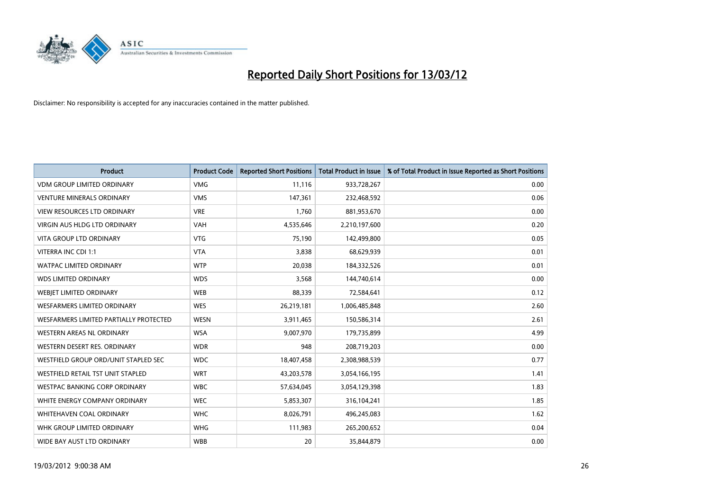

| <b>Product</b>                         | <b>Product Code</b> | <b>Reported Short Positions</b> | Total Product in Issue | % of Total Product in Issue Reported as Short Positions |
|----------------------------------------|---------------------|---------------------------------|------------------------|---------------------------------------------------------|
| <b>VDM GROUP LIMITED ORDINARY</b>      | <b>VMG</b>          | 11,116                          | 933,728,267            | 0.00                                                    |
| <b>VENTURE MINERALS ORDINARY</b>       | <b>VMS</b>          | 147,361                         | 232,468,592            | 0.06                                                    |
| <b>VIEW RESOURCES LTD ORDINARY</b>     | <b>VRE</b>          | 1,760                           | 881,953,670            | 0.00                                                    |
| <b>VIRGIN AUS HLDG LTD ORDINARY</b>    | <b>VAH</b>          | 4,535,646                       | 2,210,197,600          | 0.20                                                    |
| <b>VITA GROUP LTD ORDINARY</b>         | <b>VTG</b>          | 75,190                          | 142,499,800            | 0.05                                                    |
| VITERRA INC CDI 1:1                    | <b>VTA</b>          | 3,838                           | 68,629,939             | 0.01                                                    |
| <b>WATPAC LIMITED ORDINARY</b>         | <b>WTP</b>          | 20,038                          | 184,332,526            | 0.01                                                    |
| <b>WDS LIMITED ORDINARY</b>            | <b>WDS</b>          | 3,568                           | 144,740,614            | 0.00                                                    |
| <b>WEBJET LIMITED ORDINARY</b>         | <b>WEB</b>          | 88,339                          | 72,584,641             | 0.12                                                    |
| <b>WESFARMERS LIMITED ORDINARY</b>     | <b>WES</b>          | 26,219,181                      | 1,006,485,848          | 2.60                                                    |
| WESFARMERS LIMITED PARTIALLY PROTECTED | <b>WESN</b>         | 3,911,465                       | 150,586,314            | 2.61                                                    |
| <b>WESTERN AREAS NL ORDINARY</b>       | <b>WSA</b>          | 9,007,970                       | 179,735,899            | 4.99                                                    |
| WESTERN DESERT RES. ORDINARY           | <b>WDR</b>          | 948                             | 208,719,203            | 0.00                                                    |
| WESTFIELD GROUP ORD/UNIT STAPLED SEC   | <b>WDC</b>          | 18,407,458                      | 2,308,988,539          | 0.77                                                    |
| WESTFIELD RETAIL TST UNIT STAPLED      | <b>WRT</b>          | 43,203,578                      | 3,054,166,195          | 1.41                                                    |
| <b>WESTPAC BANKING CORP ORDINARY</b>   | <b>WBC</b>          | 57,634,045                      | 3,054,129,398          | 1.83                                                    |
| WHITE ENERGY COMPANY ORDINARY          | <b>WEC</b>          | 5,853,307                       | 316,104,241            | 1.85                                                    |
| WHITEHAVEN COAL ORDINARY               | <b>WHC</b>          | 8,026,791                       | 496,245,083            | 1.62                                                    |
| WHK GROUP LIMITED ORDINARY             | <b>WHG</b>          | 111,983                         | 265,200,652            | 0.04                                                    |
| WIDE BAY AUST LTD ORDINARY             | <b>WBB</b>          | 20                              | 35,844,879             | 0.00                                                    |